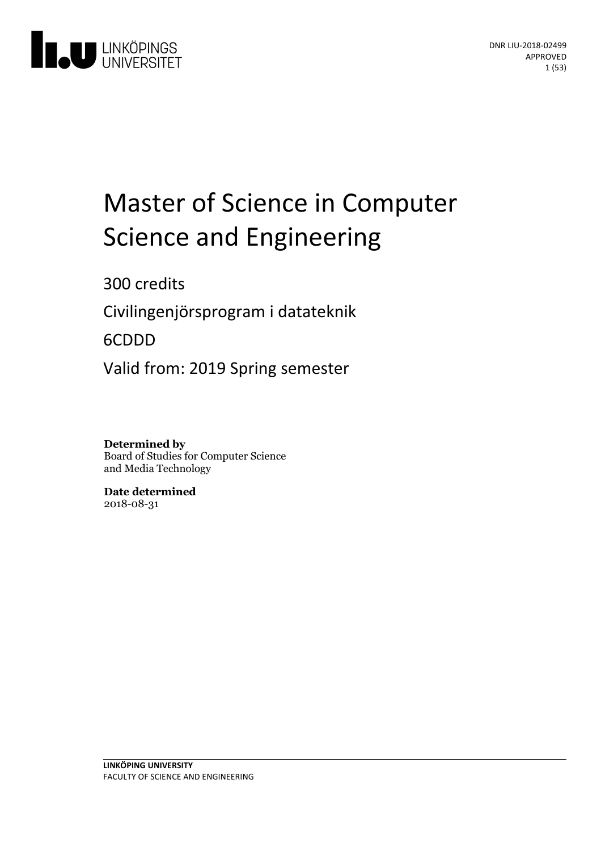

## Master of Science in Computer Science and Engineering

300 credits

Civilingenjörsprogram i datateknik

6CDDD

Valid from: 2019 Spring semester

**Determined by** Board of Studies for Computer Science and Media Technology

**Date determined** 2018-08-31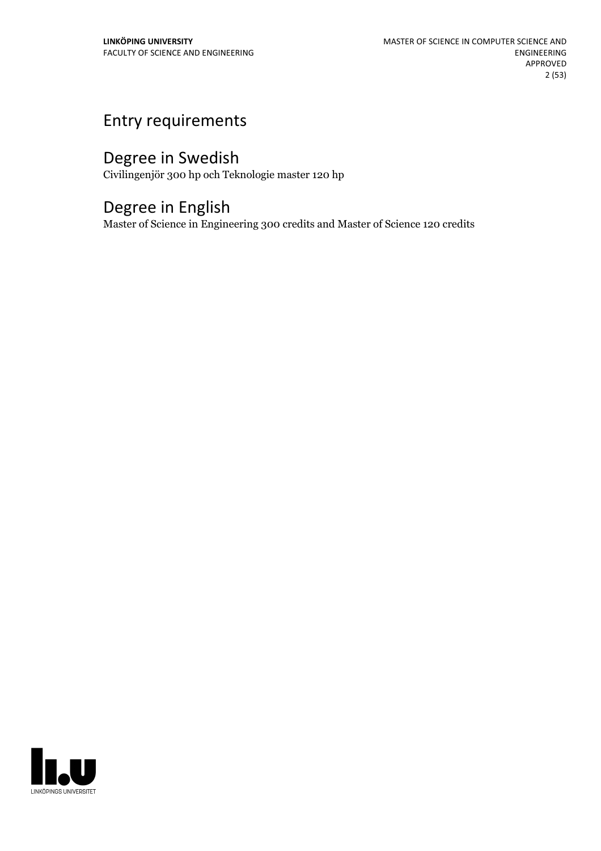## Entry requirements

## Degree in Swedish

Civilingenjör 300 hp och Teknologie master 120 hp

## Degree in English

Master of Science in Engineering 300 credits and Master of Science 120 credits

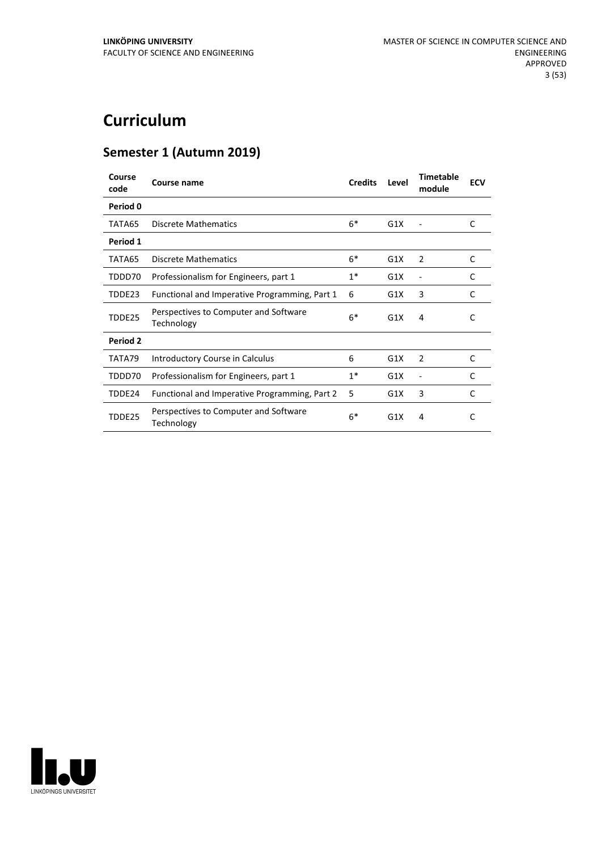## **Curriculum**

## **Semester 1 (Autumn 2019)**

| Course<br>code | Course name                                         | <b>Credits</b> | Level | <b>Timetable</b><br>module | <b>ECV</b> |
|----------------|-----------------------------------------------------|----------------|-------|----------------------------|------------|
| Period 0       |                                                     |                |       |                            |            |
| TATA65         | Discrete Mathematics                                | $6*$           | G1X   |                            | C          |
| Period 1       |                                                     |                |       |                            |            |
| TATA65         | <b>Discrete Mathematics</b>                         | $6*$           | G1X   | 2                          | C          |
| TDDD70         | Professionalism for Engineers, part 1               | $1^*$          | G1X   |                            | C          |
| TDDE23         | Functional and Imperative Programming, Part 1       | 6              | G1X   | 3                          | C          |
| TDDE25         | Perspectives to Computer and Software<br>Technology | $6*$           | G1X   | 4                          | C          |
| Period 2       |                                                     |                |       |                            |            |
| TATA79         | Introductory Course in Calculus                     | 6              | G1X   | 2                          | C          |
| TDDD70         | Professionalism for Engineers, part 1               | $1^*$          | G1X   |                            | C          |
| TDDE24         | Functional and Imperative Programming, Part 2       | 5              | G1X   | 3                          | C          |
| TDDE25         | Perspectives to Computer and Software<br>Technology | $6*$           | G1X   | 4                          | C          |

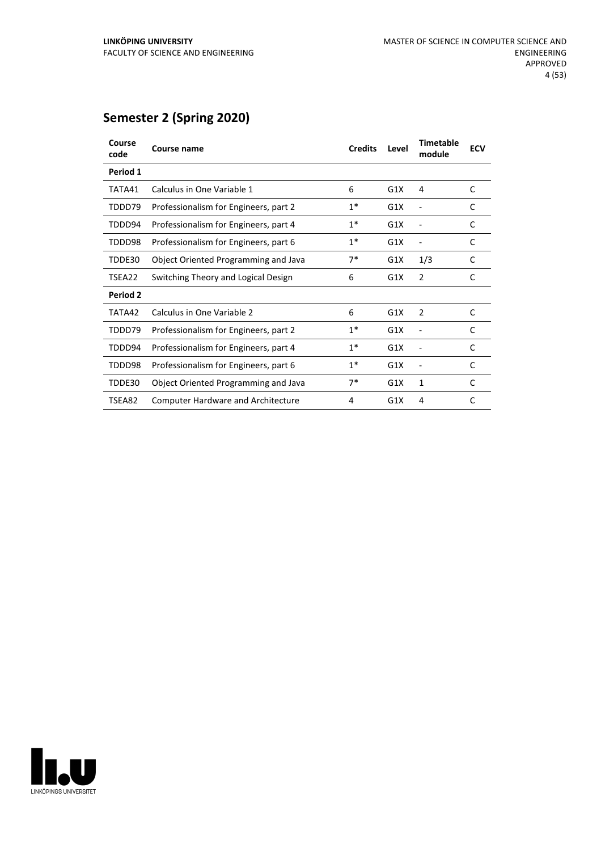## **Semester 2 (Spring 2020)**

| Course<br>code | Course name                               | <b>Credits</b> | Level | <b>Timetable</b><br>module | <b>ECV</b> |
|----------------|-------------------------------------------|----------------|-------|----------------------------|------------|
| Period 1       |                                           |                |       |                            |            |
| TATA41         | Calculus in One Variable 1                | 6              | G1X   | 4                          | C          |
| TDDD79         | Professionalism for Engineers, part 2     | $1*$           | G1X   |                            | C          |
| TDDD94         | Professionalism for Engineers, part 4     | $1*$           | G1X   |                            | C          |
| TDDD98         | Professionalism for Engineers, part 6     | $1*$           | G1X   |                            | C          |
| TDDE30         | Object Oriented Programming and Java      | 7*             | G1X   | 1/3                        | C          |
| TSEA22         | Switching Theory and Logical Design       | 6              | G1X   | $\overline{2}$             | C          |
| Period 2       |                                           |                |       |                            |            |
| TATA42         | Calculus in One Variable 2                | 6              | G1X   | 2                          | C          |
| TDDD79         | Professionalism for Engineers, part 2     | $1*$           | G1X   |                            | C          |
| TDDD94         | Professionalism for Engineers, part 4     | $1^*$          | G1X   |                            | C          |
| TDDD98         | Professionalism for Engineers, part 6     | $1*$           | G1X   |                            | C          |
| TDDE30         | Object Oriented Programming and Java      | $7*$           | G1X   | 1                          | C          |
| TSEA82         | <b>Computer Hardware and Architecture</b> | 4              | G1X   | 4                          | C          |
|                |                                           |                |       |                            |            |

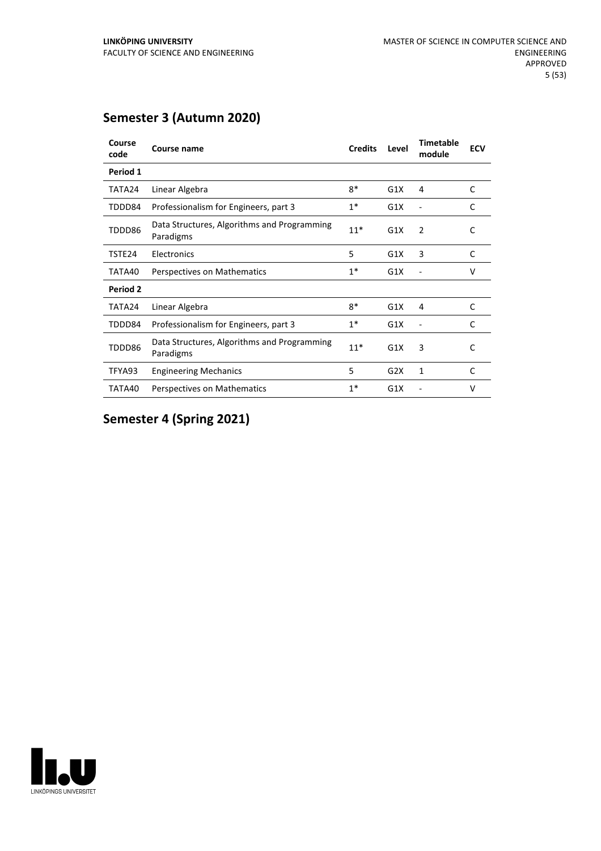## **Semester 3 (Autumn 2020)**

| Course<br>code | Course name                                              | <b>Credits</b> | Level | <b>Timetable</b><br>module | <b>ECV</b>   |
|----------------|----------------------------------------------------------|----------------|-------|----------------------------|--------------|
| Period 1       |                                                          |                |       |                            |              |
| TATA24         | Linear Algebra                                           | 8*             | G1X   | 4                          | C            |
| TDDD84         | Professionalism for Engineers, part 3                    | $1*$           | G1X   |                            | $\mathsf{C}$ |
| TDDD86         | Data Structures, Algorithms and Programming<br>Paradigms | $11*$          | G1X   | $\overline{2}$             | C            |
| TSTE24         | Electronics                                              | 5              | G1X   | 3                          | C            |
| TATA40         | Perspectives on Mathematics                              | $1*$           | G1X   |                            | v            |
| Period 2       |                                                          |                |       |                            |              |
| TATA24         | Linear Algebra                                           | $8*$           | G1X   | 4                          | C            |
| TDDD84         | Professionalism for Engineers, part 3                    | $1*$           | G1X   |                            | C            |
| TDDD86         | Data Structures, Algorithms and Programming<br>Paradigms | $11*$          | G1X   | 3                          | C            |
| TFYA93         | <b>Engineering Mechanics</b>                             | 5              | G2X   | 1                          | C            |
| TATA40         | Perspectives on Mathematics                              | $1*$           | G1X   |                            | v            |

## **Semester 4 (Spring 2021)**

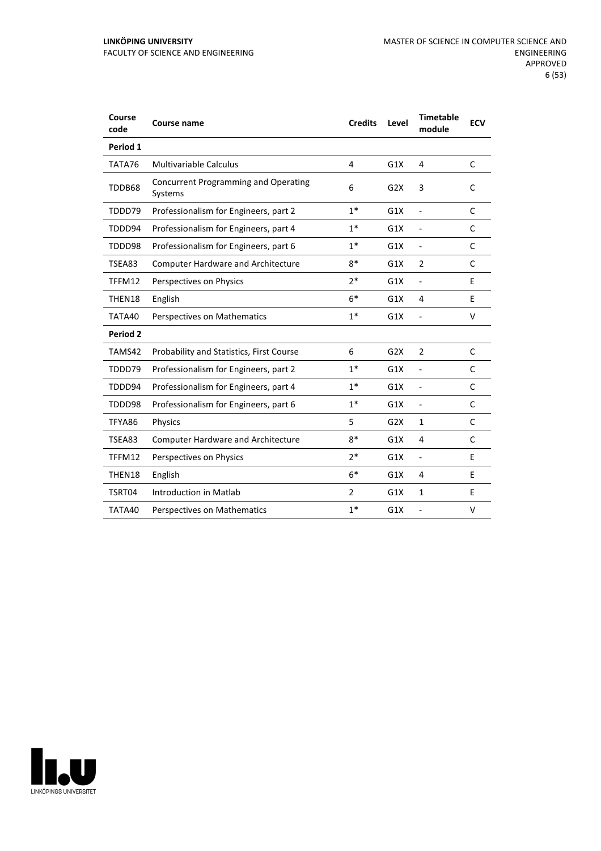#### **LINKÖPING UNIVERSITY** FACULTY OF SCIENCE AND ENGINEERING

| Course<br>code  | Course name                                     | <b>Credits</b> | Level            | <b>Timetable</b><br>module | <b>ECV</b> |
|-----------------|-------------------------------------------------|----------------|------------------|----------------------------|------------|
| Period 1        |                                                 |                |                  |                            |            |
| TATA76          | <b>Multivariable Calculus</b>                   | 4              | G1X              | 4                          | C          |
| TDDB68          | Concurrent Programming and Operating<br>Systems | 6              | G <sub>2</sub> X | 3                          | C          |
| TDDD79          | Professionalism for Engineers, part 2           | $1*$           | G1X              | $\overline{a}$             | C          |
| TDDD94          | Professionalism for Engineers, part 4           | $1*$           | G1X              | $\overline{\phantom{a}}$   | C          |
| TDDD98          | Professionalism for Engineers, part 6           | $1*$           | G1X              | $\overline{a}$             | C          |
| TSEA83          | <b>Computer Hardware and Architecture</b>       | $8*$           | G1X              | 2                          | C          |
| TFFM12          | Perspectives on Physics                         | $2*$           | G1X              | $\blacksquare$             | E          |
| THEN18          | English                                         | $6*$           | G1X              | 4                          | E          |
| TATA40          | Perspectives on Mathematics                     | $1*$           | G1X              |                            | v          |
| <b>Period 2</b> |                                                 |                |                  |                            |            |
| TAMS42          | Probability and Statistics, First Course        | 6              | G2X              | 2                          | C          |
| TDDD79          | Professionalism for Engineers, part 2           | $1*$           | G1X              | $\overline{a}$             | C          |
| TDDD94          | Professionalism for Engineers, part 4           | $1*$           | G1X              | $\overline{\phantom{a}}$   | C          |
| TDDD98          | Professionalism for Engineers, part 6           | $1*$           | G1X              | $\blacksquare$             | C          |
| TFYA86          | Physics                                         | 5              | G2X              | $\mathbf{1}$               | C          |
| TSEA83          | <b>Computer Hardware and Architecture</b>       | $8*$           | G1X              | 4                          | C          |
| TFFM12          | Perspectives on Physics                         | $2*$           | G1X              | $\overline{\phantom{a}}$   | E          |
| THEN18          | English                                         | $6*$           | G1X              | 4                          | E          |
| TSRT04          | Introduction in Matlab                          | $\overline{2}$ | G1X              | $\mathbf{1}$               | E          |
| TATA40          | Perspectives on Mathematics                     | $1*$           | G1X              |                            | v          |

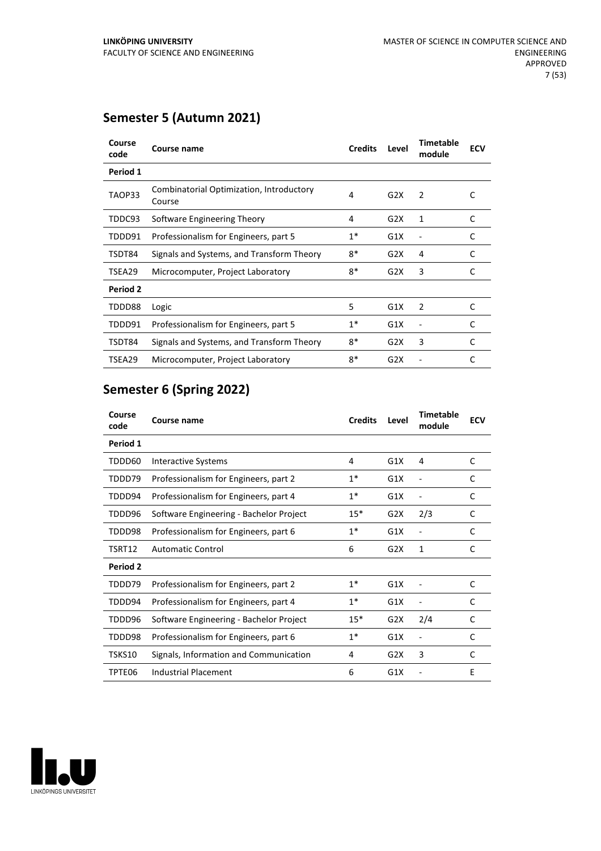| Course<br>code  | Course name                                        | <b>Credits</b> | Level            | <b>Timetable</b><br>module | <b>ECV</b> |
|-----------------|----------------------------------------------------|----------------|------------------|----------------------------|------------|
| Period 1        |                                                    |                |                  |                            |            |
| TAOP33          | Combinatorial Optimization, Introductory<br>Course | 4              | G2X              | 2                          | C          |
| TDDC93          | Software Engineering Theory                        | 4              | G2X              | 1                          | C          |
| TDDD91          | Professionalism for Engineers, part 5              | $1*$           | G1X              |                            | C          |
| TSDT84          | Signals and Systems, and Transform Theory          | 8*             | G2X              | 4                          | C          |
| TSEA29          | Microcomputer, Project Laboratory                  | 8*             | G2X              | 3                          | C          |
| <b>Period 2</b> |                                                    |                |                  |                            |            |
| TDDD88          | Logic                                              | 5              | G1X              | $\overline{2}$             | C          |
| TDDD91          | Professionalism for Engineers, part 5              | $1*$           | G1X              |                            | C          |
| TSDT84          | Signals and Systems, and Transform Theory          | $8*$           | G2X              | 3                          | C          |
| TSEA29          | Microcomputer, Project Laboratory                  | 8*             | G <sub>2</sub> X |                            | C          |

## **Semester 5 (Autumn 2021)**

## **Semester 6 (Spring 2022)**

| Course<br>code  | Course name                             | <b>Credits</b> | Level | Timetable<br>module | <b>ECV</b> |
|-----------------|-----------------------------------------|----------------|-------|---------------------|------------|
| Period 1        |                                         |                |       |                     |            |
| TDDD60          | Interactive Systems                     | 4              | G1X   | 4                   | C          |
| TDDD79          | Professionalism for Engineers, part 2   | $1^*$          | G1X   | ۰                   | C          |
| TDDD94          | Professionalism for Engineers, part 4   | $1*$           | G1X   |                     | C          |
| TDDD96          | Software Engineering - Bachelor Project | $15*$          | G2X   | 2/3                 | C          |
| TDDD98          | Professionalism for Engineers, part 6   | $1*$           | G1X   |                     | C          |
| TSRT12          | <b>Automatic Control</b>                | 6              | G2X   | 1                   | C          |
| <b>Period 2</b> |                                         |                |       |                     |            |
| TDDD79          | Professionalism for Engineers, part 2   | $1*$           | G1X   |                     | C          |
| TDDD94          | Professionalism for Engineers, part 4   | $1*$           | G1X   |                     | C          |
| TDDD96          | Software Engineering - Bachelor Project | $15*$          | G2X   | 2/4                 | C          |
| TDDD98          | Professionalism for Engineers, part 6   | $1*$           | G1X   |                     | C          |
| TSKS10          | Signals, Information and Communication  | 4              | G2X   | 3                   | C          |
| TPTE06          | Industrial Placement                    | 6              | G1X   |                     | E          |

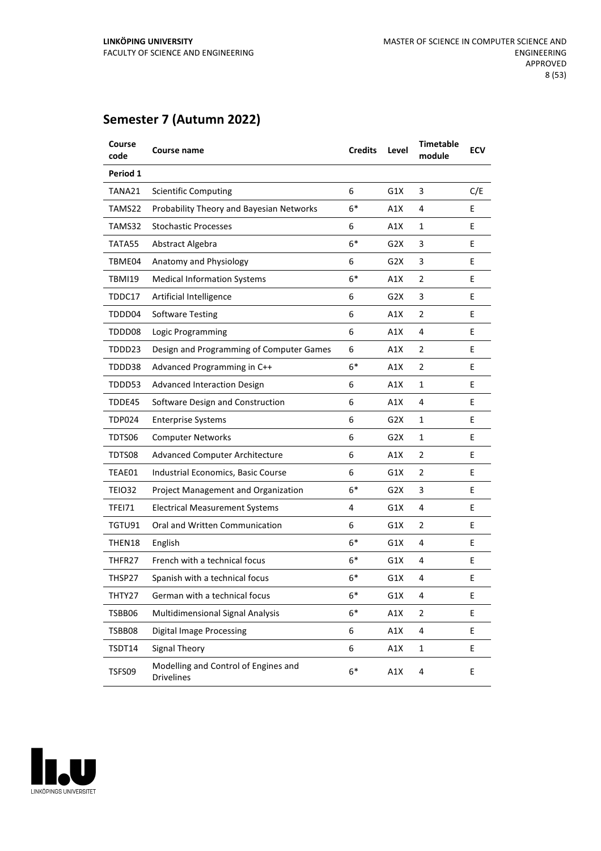| Course<br>code | Course name                                               | <b>Credits</b> | Level | <b>Timetable</b><br>module | <b>ECV</b> |
|----------------|-----------------------------------------------------------|----------------|-------|----------------------------|------------|
| Period 1       |                                                           |                |       |                            |            |
| TANA21         | <b>Scientific Computing</b>                               | 6              | G1X   | 3                          | C/E        |
| TAMS22         | Probability Theory and Bayesian Networks                  | $6*$           | A1X   | 4                          | Ε          |
| TAMS32         | <b>Stochastic Processes</b>                               | 6              | A1X   | 1                          | E          |
| TATA55         | Abstract Algebra                                          | $6*$           | G2X   | 3                          | E          |
| TBME04         | Anatomy and Physiology                                    | 6              | G2X   | 3                          | E          |
| TBMI19         | <b>Medical Information Systems</b>                        | $6*$           | A1X   | 2                          | E          |
| TDDC17         | Artificial Intelligence                                   | 6              | G2X   | 3                          | E          |
| TDDD04         | <b>Software Testing</b>                                   | 6              | A1X   | 2                          | E          |
| TDDD08         | Logic Programming                                         | 6              | A1X   | 4                          | E          |
| TDDD23         | Design and Programming of Computer Games                  | 6              | A1X   | 2                          | E          |
| TDDD38         | Advanced Programming in C++                               | $6*$           | A1X   | 2                          | E          |
| TDDD53         | <b>Advanced Interaction Design</b>                        | 6              | A1X   | 1                          | E          |
| TDDE45         | Software Design and Construction                          | 6              | A1X   | 4                          | E          |
| TDP024         | <b>Enterprise Systems</b>                                 | 6              | G2X   | 1                          | E          |
| TDTS06         | <b>Computer Networks</b>                                  | 6              | G2X   | 1                          | E          |
| TDTS08         | <b>Advanced Computer Architecture</b>                     | 6              | A1X   | 2                          | E          |
| TEAE01         | Industrial Economics, Basic Course                        | 6              | G1X   | 2                          | E          |
| TEIO32         | Project Management and Organization                       | $6*$           | G2X   | 3                          | E          |
| TFEI71         | <b>Electrical Measurement Systems</b>                     | 4              | G1X   | 4                          | E          |
| TGTU91         | Oral and Written Communication                            | 6              | G1X   | 2                          | E          |
| THEN18         | English                                                   | $6*$           | G1X   | 4                          | E          |
| THFR27         | French with a technical focus                             | 6*             | G1X   | 4                          | E          |
| THSP27         | Spanish with a technical focus                            | 6*             | G1X   | 4                          | Е          |
| THTY27         | German with a technical focus                             | 6*             | G1X   | 4                          | Ε          |
| TSBB06         | <b>Multidimensional Signal Analysis</b>                   | $6*$           | A1X   | 2                          | E          |
| TSBB08         | <b>Digital Image Processing</b>                           | 6              | A1X   | 4                          | E.         |
| TSDT14         | Signal Theory                                             | 6              | A1X   | $\mathbf 1$                | E          |
| TSFS09         | Modelling and Control of Engines and<br><b>Drivelines</b> | $6*$           | A1X   | 4                          | E          |

## **Semester 7 (Autumn 2022)**

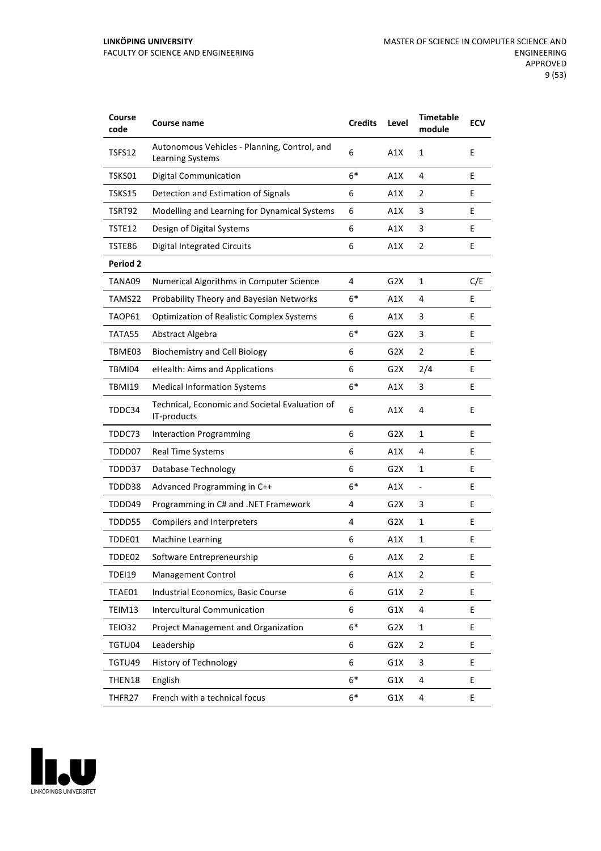#### **LINKÖPING UNIVERSITY** FACULTY OF SCIENCE AND ENGINEERING

| Course<br>code  | Course name                                                      | <b>Credits</b> | Level            | <b>Timetable</b><br>module | <b>ECV</b> |
|-----------------|------------------------------------------------------------------|----------------|------------------|----------------------------|------------|
| TSFS12          | Autonomous Vehicles - Planning, Control, and<br>Learning Systems | 6              | A1X              | $\mathbf{1}$               | E          |
| TSKS01          | <b>Digital Communication</b>                                     | $6*$           | A1X              | 4                          | E          |
| TSKS15          | Detection and Estimation of Signals                              | 6              | A1X              | 2                          | E          |
| TSRT92          | Modelling and Learning for Dynamical Systems                     | 6              | A1X              | 3                          | E          |
| TSTE12          | Design of Digital Systems                                        | 6              | A1X              | 3                          | E          |
| TSTE86          | <b>Digital Integrated Circuits</b>                               | 6              | A1X              | $\overline{2}$             | E          |
| <b>Period 2</b> |                                                                  |                |                  |                            |            |
| TANA09          | Numerical Algorithms in Computer Science                         | 4              | G2X              | $\mathbf{1}$               | C/E        |
| TAMS22          | Probability Theory and Bayesian Networks                         | $6*$           | A1X              | 4                          | E          |
| TAOP61          | <b>Optimization of Realistic Complex Systems</b>                 | 6              | A1X              | 3                          | E          |
| TATA55          | Abstract Algebra                                                 | $6*$           | G <sub>2</sub> X | 3                          | E          |
| TBME03          | <b>Biochemistry and Cell Biology</b>                             | 6              | G2X              | $\overline{2}$             | E          |
| TBMI04          | eHealth: Aims and Applications                                   | 6              | G2X              | 2/4                        | E          |
| TBMI19          | <b>Medical Information Systems</b>                               | $6*$           | A1X              | 3                          | E          |
| TDDC34          | Technical, Economic and Societal Evaluation of<br>IT-products    | 6              | A1X              | 4                          | E          |
| TDDC73          | <b>Interaction Programming</b>                                   | 6              | G2X              | $\mathbf{1}$               | E          |
| TDDD07          | Real Time Systems                                                | 6              | A1X              | 4                          | E          |
| TDDD37          | Database Technology                                              | 6              | G2X              | 1                          | E          |
| TDDD38          | Advanced Programming in C++                                      | $6*$           | A1X              | $\frac{1}{2}$              | E          |
| TDDD49          | Programming in C# and .NET Framework                             | 4              | G <sub>2</sub> X | 3                          | E          |
| TDDD55          | Compilers and Interpreters                                       | 4              | G2X              | 1                          | Е          |
| TDDE01          | Machine Learning                                                 | 6              | A1X              | 1                          | E          |
| TDDE02          | Software Entrepreneurship                                        | 6              | A1X              | $\overline{2}$             | E          |
| <b>TDEI19</b>   | <b>Management Control</b>                                        | 6              | A1X              | $\overline{2}$             | E          |
| TEAE01          | Industrial Economics, Basic Course                               | 6              | G1X              | $\overline{2}$             | E          |
| TEIM13          | <b>Intercultural Communication</b>                               | 6              | G1X              | 4                          | E.         |
| <b>TEIO32</b>   | Project Management and Organization                              | $6*$           | G <sub>2</sub> X | 1                          | E.         |
| TGTU04          | Leadership                                                       | 6              | G2X              | $\overline{2}$             | E          |
| TGTU49          | History of Technology                                            | 6              | G1X              | 3                          | E          |
| THEN18          | English                                                          | $6*$           | G1X              | 4                          | E          |
| THFR27          | French with a technical focus                                    | $6*$           | G1X              | 4                          | E          |

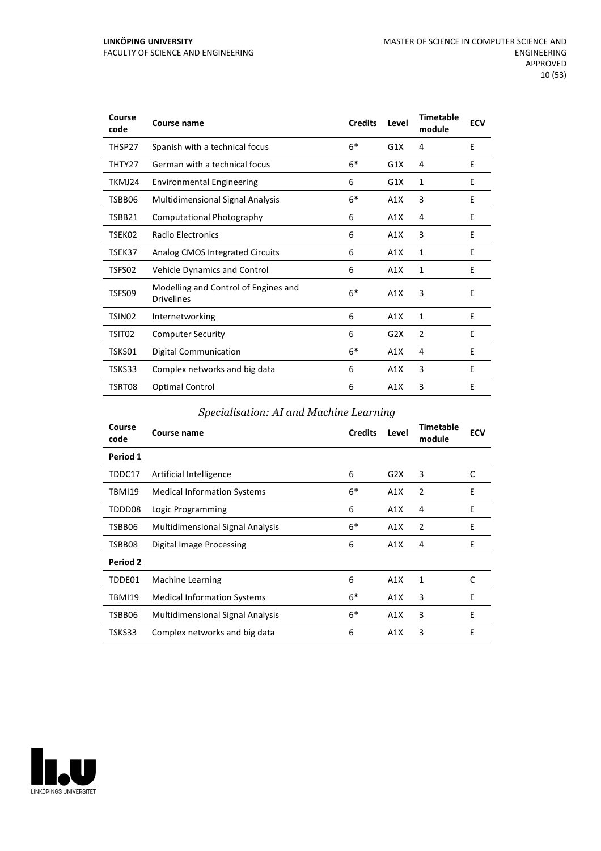#### **LINKÖPING UNIVERSITY** FACULTY OF SCIENCE AND ENGINEERING

| Course<br>code     | Course name                                               | <b>Credits</b> | Level | <b>Timetable</b><br>module | <b>ECV</b> |
|--------------------|-----------------------------------------------------------|----------------|-------|----------------------------|------------|
| THSP27             | Spanish with a technical focus                            | $6*$           | G1X   | 4                          | E          |
| THTY27             | German with a technical focus                             | $6*$           | G1X   | 4                          | E          |
| TKMJ24             | <b>Environmental Engineering</b>                          | 6              | G1X   | 1                          | E          |
| TSBB06             | <b>Multidimensional Signal Analysis</b>                   | $6*$           | A1X   | 3                          | E          |
| TSBB21             | Computational Photography                                 | 6              | A1X   | 4                          | E          |
| TSEK02             | Radio Electronics                                         | 6              | A1X   | 3                          | E          |
| TSEK37             | Analog CMOS Integrated Circuits                           | 6              | A1X   | 1                          | E          |
| TSFS02             | <b>Vehicle Dynamics and Control</b>                       | 6              | A1X   | 1                          | E          |
| TSFS09             | Modelling and Control of Engines and<br><b>Drivelines</b> | $6*$           | A1X   | 3                          | E          |
| TSIN <sub>02</sub> | Internetworking                                           | 6              | A1X   | $\mathbf{1}$               | E          |
| TSIT02             | <b>Computer Security</b>                                  | 6              | G2X   | 2                          | E          |
| TSKS01             | <b>Digital Communication</b>                              | $6*$           | A1X   | 4                          | E          |
| TSKS33             | Complex networks and big data                             | 6              | A1X   | 3                          | E          |
| TSRT08             | <b>Optimal Control</b>                                    | 6              | A1X   | 3                          | E          |

#### *Specialisation: AI and Machine Learning*

| Course<br>code | Course name                             | <b>Credits</b> | Level | <b>Timetable</b><br>module | <b>ECV</b> |
|----------------|-----------------------------------------|----------------|-------|----------------------------|------------|
| Period 1       |                                         |                |       |                            |            |
| TDDC17         | Artificial Intelligence                 | 6              | G2X   | 3                          | C          |
| TBMI19         | <b>Medical Information Systems</b>      | $6*$           | A1X   | 2                          | E          |
| TDDD08         | Logic Programming                       | 6              | A1X   | 4                          | Ε          |
| TSBB06         | <b>Multidimensional Signal Analysis</b> | $6*$           | A1X   | 2                          | E          |
| TSBB08         | Digital Image Processing                | 6              | A1X   | 4                          | E          |
| Period 2       |                                         |                |       |                            |            |
| TDDE01         | Machine Learning                        | 6              | A1X   | 1                          | C          |
| <b>TBMI19</b>  | <b>Medical Information Systems</b>      | $6*$           | A1X   | 3                          | E          |
| TSBB06         | <b>Multidimensional Signal Analysis</b> | $6*$           | A1X   | 3                          | E          |
| TSKS33         | Complex networks and big data           | 6              | A1X   | 3                          | E          |

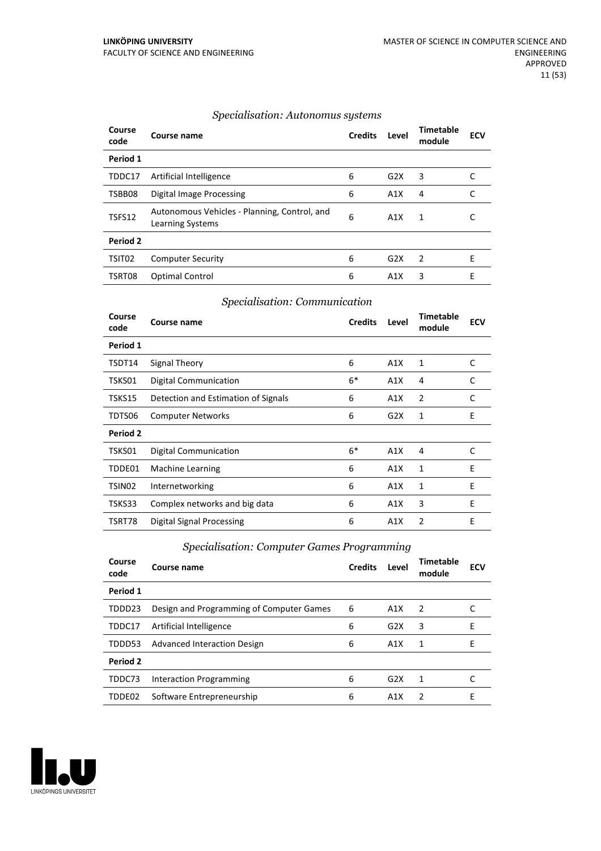| Course<br>code | Course name                                                      | <b>Credits</b> | Level            | Timetable<br>module | <b>ECV</b> |
|----------------|------------------------------------------------------------------|----------------|------------------|---------------------|------------|
| Period 1       |                                                                  |                |                  |                     |            |
| TDDC17         | Artificial Intelligence                                          | 6              | G2X              | 3                   |            |
| TSBB08         | Digital Image Processing                                         | 6              | A1X              | 4                   | C          |
| TSFS12         | Autonomous Vehicles - Planning, Control, and<br>Learning Systems | 6              | A1X              | 1                   |            |
| Period 2       |                                                                  |                |                  |                     |            |
| TSIT02         | <b>Computer Security</b>                                         | 6              | G2X              | 2                   | Е          |
| TSRT08         | <b>Optimal Control</b>                                           | 6              | A <sub>1</sub> X | 3                   | E          |

#### *Specialisation: Autonomus systems*

#### *Specialisation: Communication*

| Course<br>code | Course name                         | <b>Credits</b> | Level | <b>Timetable</b><br>module | <b>ECV</b> |
|----------------|-------------------------------------|----------------|-------|----------------------------|------------|
| Period 1       |                                     |                |       |                            |            |
| TSDT14         | Signal Theory                       | 6              | A1X   | 1                          | C          |
| TSKS01         | Digital Communication               | $6*$           | A1X   | 4                          | C          |
| TSKS15         | Detection and Estimation of Signals | 6              | A1X   | 2                          | C          |
| TDTS06         | <b>Computer Networks</b>            | 6              | G2X   | 1                          | E          |
| Period 2       |                                     |                |       |                            |            |
| TSKS01         | <b>Digital Communication</b>        | $6*$           | A1X   | 4                          | C          |
| TDDE01         | Machine Learning                    | 6              | A1X   | 1                          | E          |
| TSIN02         | Internetworking                     | 6              | A1X   | 1                          | E          |
| TSKS33         | Complex networks and big data       | 6              | A1X   | 3                          | E          |
| TSRT78         | <b>Digital Signal Processing</b>    | 6              | A1X   | 2                          | E          |

#### *Specialisation: Computer Games Programming*

| Course<br>code | Course name                              | <b>Credits</b> | Level | Timetable<br>module | <b>ECV</b> |
|----------------|------------------------------------------|----------------|-------|---------------------|------------|
| Period 1       |                                          |                |       |                     |            |
| TDDD23         | Design and Programming of Computer Games | 6              | A1X   | $\mathcal{P}$       |            |
| TDDC17         | Artificial Intelligence                  | 6              | G2X   | 3                   | E          |
| TDDD53         | <b>Advanced Interaction Design</b>       | 6              | A1X   | 1                   | F          |
| Period 2       |                                          |                |       |                     |            |
| TDDC73         | Interaction Programming                  | 6              | G2X   | 1                   |            |
| TDDE02         | Software Entrepreneurship                | 6              | A1X   | 2                   | E          |

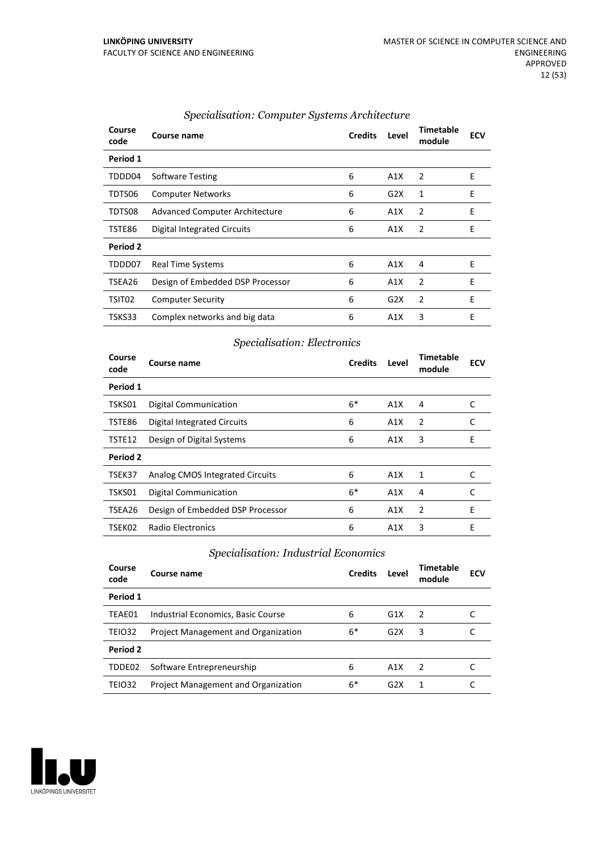| Course<br>code | Course name                           | <b>Credits</b> | Level | Timetable<br>module | <b>ECV</b> |
|----------------|---------------------------------------|----------------|-------|---------------------|------------|
| Period 1       |                                       |                |       |                     |            |
| TDDD04         | <b>Software Testing</b>               | 6              | A1X   | 2                   | E          |
| TDTS06         | <b>Computer Networks</b>              | 6              | G2X   | 1                   | E          |
| TDTS08         | <b>Advanced Computer Architecture</b> | 6              | A1X   | 2                   | E          |
| TSTE86         | Digital Integrated Circuits           | 6              | A1X   | 2                   | E          |
| Period 2       |                                       |                |       |                     |            |
| TDDD07         | <b>Real Time Systems</b>              | 6              | A1X   | 4                   | E          |
| TSEA26         | Design of Embedded DSP Processor      | 6              | A1X   | 2                   | E          |
| TSIT02         | <b>Computer Security</b>              | 6              | G2X   | $\overline{2}$      | E          |
| TSKS33         | Complex networks and big data         | 6              | A1X   | 3                   | E          |

#### *Specialisation: Computer Systems Architecture*

#### *Specialisation: Electronics*

| Course<br>code | Course name                      | <b>Credits</b> | Level | <b>Timetable</b><br>module | <b>ECV</b> |
|----------------|----------------------------------|----------------|-------|----------------------------|------------|
| Period 1       |                                  |                |       |                            |            |
| TSKS01         | <b>Digital Communication</b>     | $6*$           | A1X   | 4                          | C          |
| TSTE86         | Digital Integrated Circuits      | 6              | A1X   | $\overline{2}$             | C          |
| TSTE12         | Design of Digital Systems        | 6              | A1X   | 3                          | Е          |
| Period 2       |                                  |                |       |                            |            |
| TSEK37         | Analog CMOS Integrated Circuits  | 6              | A1X   | 1                          | C          |
| TSKS01         | <b>Digital Communication</b>     | $6*$           | A1X   | 4                          | C          |
| TSEA26         | Design of Embedded DSP Processor | 6              | A1X   | $\overline{2}$             | E          |
| TSEK02         | Radio Electronics                | 6              | A1X   | 3                          | E          |

#### *Specialisation: Industrial Economics*

| Course<br>code | Course name                         | <b>Credits</b> | Level | Timetable<br>module | ECV |
|----------------|-------------------------------------|----------------|-------|---------------------|-----|
| Period 1       |                                     |                |       |                     |     |
| TEAE01         | Industrial Economics, Basic Course  | 6              | G1X   | - 2                 |     |
| <b>TEIO32</b>  | Project Management and Organization | $6*$           | G2X   | 3                   |     |
| Period 2       |                                     |                |       |                     |     |
| TDDE02         | Software Entrepreneurship           | 6              | A1X   | $\mathcal{P}$       |     |
| <b>TEIO32</b>  | Project Management and Organization | $6*$           | G2X   | 1                   |     |

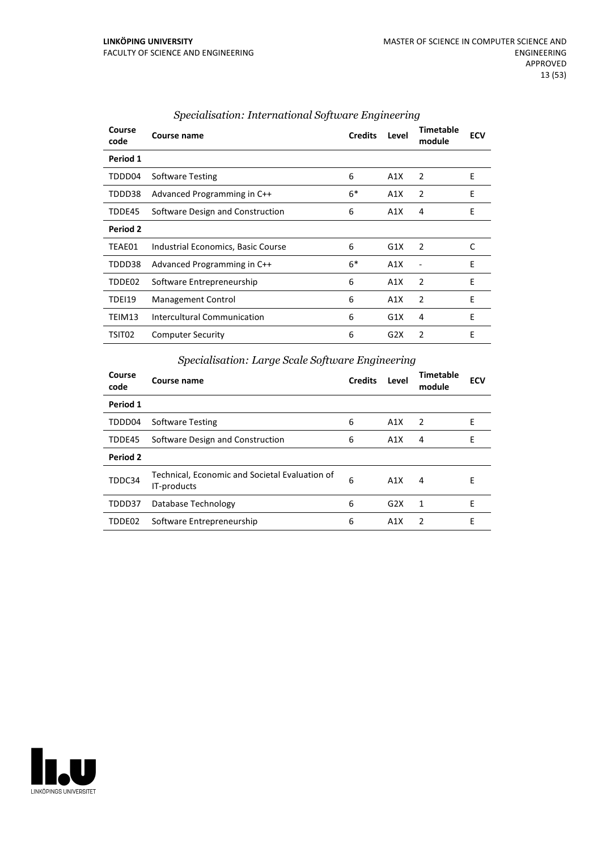| Course<br>code | Course name                        | <b>Credits</b> | Level | <b>Timetable</b><br>module | <b>ECV</b> |
|----------------|------------------------------------|----------------|-------|----------------------------|------------|
| Period 1       |                                    |                |       |                            |            |
| TDDD04         | Software Testing                   | 6              | A1X   | 2                          | Ε          |
| TDDD38         | Advanced Programming in C++        | $6*$           | A1X   | 2                          | Ε          |
| TDDE45         | Software Design and Construction   | 6              | A1X   | 4                          | E          |
| Period 2       |                                    |                |       |                            |            |
| TEAE01         | Industrial Economics, Basic Course | 6              | G1X   | 2                          | C          |
| TDDD38         | Advanced Programming in C++        | $6*$           | A1X   |                            | E          |
| TDDE02         | Software Entrepreneurship          | 6              | A1X   | $\overline{2}$             | E          |
| TDEI19         | Management Control                 | 6              | A1X   | $\overline{2}$             | E          |
| TEIM13         | Intercultural Communication        | 6              | G1X   | 4                          | E          |
| TSIT02         | <b>Computer Security</b>           | 6              | G2X   | 2                          | E          |

#### *Specialisation: International Software Engineering*

#### *Specialisation: Large Scale Software Engineering*

| Course<br>code | Course name                                                   | <b>Credits</b> | Level | Timetable<br>module | <b>ECV</b> |
|----------------|---------------------------------------------------------------|----------------|-------|---------------------|------------|
| Period 1       |                                                               |                |       |                     |            |
| TDDD04         | <b>Software Testing</b>                                       | 6              | A1X   | 2                   | E          |
| TDDE45         | Software Design and Construction                              | 6              | A1X   | 4                   | E          |
| Period 2       |                                                               |                |       |                     |            |
| TDDC34         | Technical, Economic and Societal Evaluation of<br>IT-products | 6              | A1X   | 4                   | E          |
| TDDD37         | Database Technology                                           | 6              | G2X   | 1                   | F          |
| TDDE02         | Software Entrepreneurship                                     | 6              | A1X   | $\mathcal{P}$       | F          |

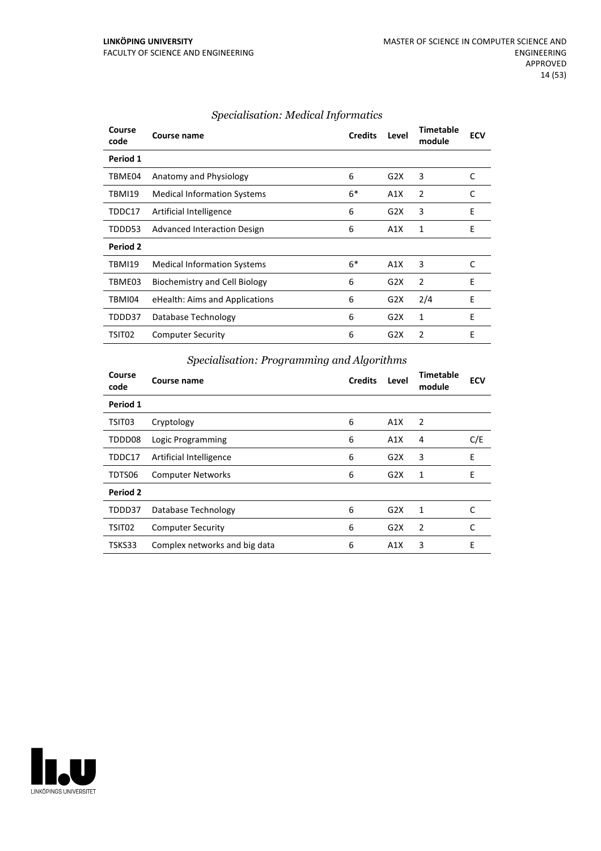| Course<br>code | Course name                        | <b>Credits</b> | Level | <b>Timetable</b><br>module | <b>ECV</b> |
|----------------|------------------------------------|----------------|-------|----------------------------|------------|
| Period 1       |                                    |                |       |                            |            |
| TBME04         | Anatomy and Physiology             | 6              | G2X   | 3                          | C          |
| TBMI19         | <b>Medical Information Systems</b> | $6*$           | A1X   | 2                          | C          |
| TDDC17         | Artificial Intelligence            | 6              | G2X   | 3                          | E          |
| TDDD53         | Advanced Interaction Design        | 6              | A1X   | 1                          | E          |
| Period 2       |                                    |                |       |                            |            |
| TBMI19         | <b>Medical Information Systems</b> | $6*$           | A1X   | 3                          | C          |
| TBME03         | Biochemistry and Cell Biology      | 6              | G2X   | $\overline{2}$             | E          |
| TBMI04         | eHealth: Aims and Applications     | 6              | G2X   | 2/4                        | E          |
| TDDD37         | Database Technology                | 6              | G2X   | 1                          | E          |
| TSIT02         | <b>Computer Security</b>           | 6              | G2X   | 2                          | E          |
|                |                                    |                |       |                            |            |

#### *Specialisation: Medical Informatics*

#### *Specialisation: Programming and Algorithms*

| Course<br>code     | Course name                   | <b>Credits</b> | Level            | <b>Timetable</b><br>module | <b>ECV</b> |
|--------------------|-------------------------------|----------------|------------------|----------------------------|------------|
| Period 1           |                               |                |                  |                            |            |
| TSIT03             | Cryptology                    | 6              | A1X              | $\overline{2}$             |            |
| TDDD08             | Logic Programming             | 6              | A1X              | 4                          | C/E        |
| TDDC17             | Artificial Intelligence       | 6              | G2X              | 3                          | E          |
| TDTS06             | <b>Computer Networks</b>      | 6              | G2X              | 1                          | E          |
| Period 2           |                               |                |                  |                            |            |
| TDDD37             | Database Technology           | 6              | G <sub>2</sub> X | 1                          | C          |
| TSIT <sub>02</sub> | <b>Computer Security</b>      | 6              | G <sub>2</sub> X | $\overline{2}$             | C          |
| TSKS33             | Complex networks and big data | 6              | A1X              | 3                          | E          |

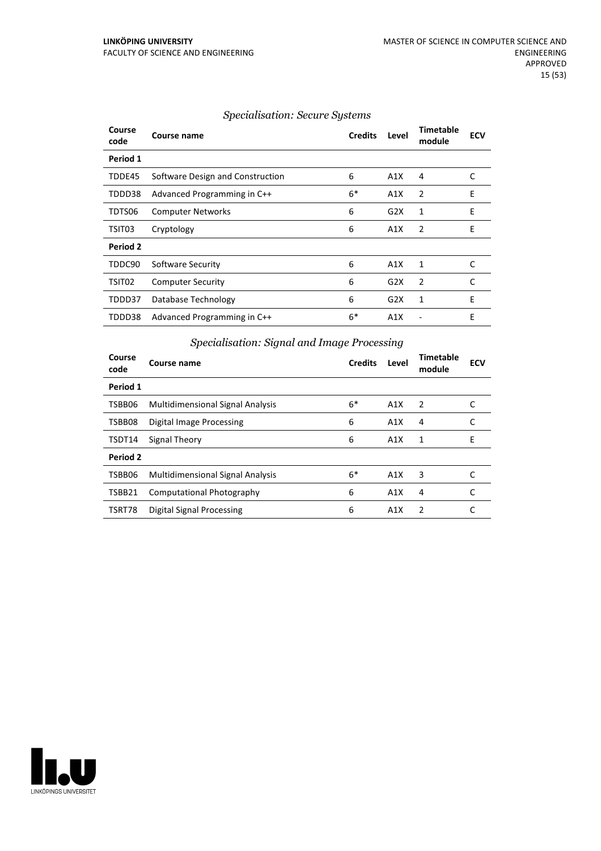| <b>Specialisation: Secure Systems</b> |  |  |
|---------------------------------------|--|--|
|                                       |  |  |

| Course<br>code | Course name                      | <b>Credits</b> | Level | <b>Timetable</b><br>module | <b>ECV</b> |
|----------------|----------------------------------|----------------|-------|----------------------------|------------|
| Period 1       |                                  |                |       |                            |            |
| TDDE45         | Software Design and Construction | 6              | A1X   | 4                          | C          |
| TDDD38         | Advanced Programming in C++      | $6*$           | A1X   | 2                          | E          |
| TDTS06         | <b>Computer Networks</b>         | 6              | G2X   | 1                          | E          |
| TSIT03         | Cryptology                       | 6              | A1X   | 2                          | E          |
| Period 2       |                                  |                |       |                            |            |
| TDDC90         | Software Security                | 6              | A1X   | 1                          | C          |
| TSIT02         | <b>Computer Security</b>         | 6              | G2X   | 2                          | C          |
| TDDD37         | Database Technology              | 6              | G2X   | 1                          | E          |
| TDDD38         | Advanced Programming in C++      | $6*$           | A1X   |                            | E          |

| Specialisation: Signal and Image Processing |  |  |  |
|---------------------------------------------|--|--|--|
|                                             |  |  |  |

| Course<br>code | Course name                             | <b>Credits</b> | Level | <b>Timetable</b><br>module | <b>ECV</b> |
|----------------|-----------------------------------------|----------------|-------|----------------------------|------------|
| Period 1       |                                         |                |       |                            |            |
| TSBB06         | <b>Multidimensional Signal Analysis</b> | $6*$           | A1X   | 2                          |            |
| TSBB08         | <b>Digital Image Processing</b>         | 6              | A1X   | 4                          | C          |
| TSDT14         | Signal Theory                           | 6              | A1X   | 1                          | E          |
| Period 2       |                                         |                |       |                            |            |
| TSBB06         | <b>Multidimensional Signal Analysis</b> | $6*$           | A1X   | 3                          |            |
| TSBB21         | Computational Photography               | 6              | A1X   | 4                          | C          |
| TSRT78         | Digital Signal Processing               | 6              | A1X   | 2                          |            |

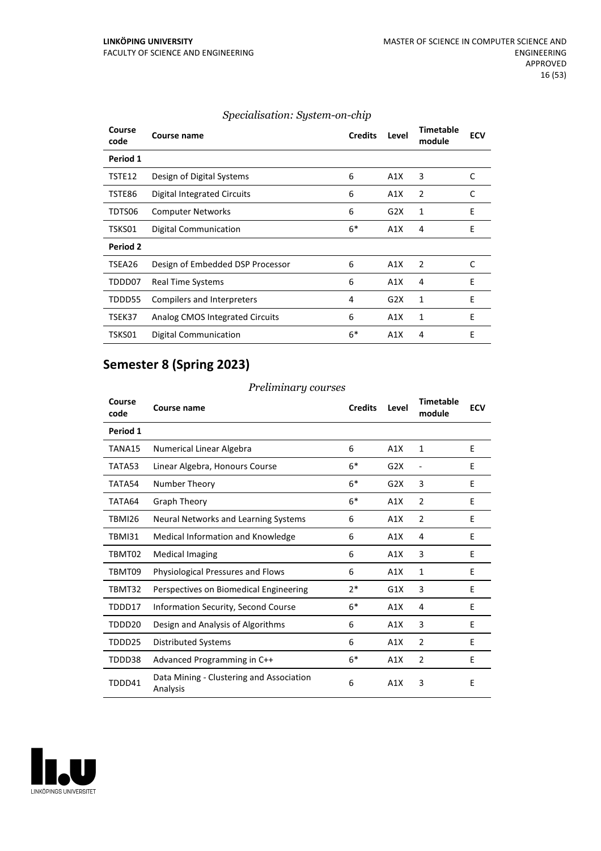| Course<br>code | <b>Course name</b>               | <b>Credits</b> | Level | <b>Timetable</b><br>module | <b>ECV</b> |
|----------------|----------------------------------|----------------|-------|----------------------------|------------|
| Period 1       |                                  |                |       |                            |            |
| TSTE12         | Design of Digital Systems        | 6              | A1X   | 3                          | C          |
| TSTE86         | Digital Integrated Circuits      | 6              | A1X   | 2                          | C          |
| TDTS06         | <b>Computer Networks</b>         | 6              | G2X   | 1                          | Ε          |
| TSKS01         | Digital Communication            | $6*$           | A1X   | 4                          | E          |
| Period 2       |                                  |                |       |                            |            |
| TSEA26         | Design of Embedded DSP Processor | 6              | A1X   | 2                          | C          |
| TDDD07         | Real Time Systems                | 6              | A1X   | 4                          | E          |
| TDDD55         | Compilers and Interpreters       | 4              | G2X   | 1                          | E          |
| TSEK37         | Analog CMOS Integrated Circuits  | 6              | A1X   | 1                          | E          |
| TSKS01         | <b>Digital Communication</b>     | $6*$           | A1X   | 4                          | E          |

#### *Specialisation: System-on-chip*

## **Semester 8 (Spring 2023)**

#### *Preliminary courses*

| Course<br>code | Course name                                          | <b>Credits</b> | Level | Timetable<br>module | <b>ECV</b> |
|----------------|------------------------------------------------------|----------------|-------|---------------------|------------|
| Period 1       |                                                      |                |       |                     |            |
| TANA15         | Numerical Linear Algebra                             | 6              | A1X   | $\mathbf{1}$        | E          |
| TATA53         | Linear Algebra, Honours Course                       | $6*$           | G2X   | $\overline{a}$      | E          |
| TATA54         | Number Theory                                        | $6*$           | G2X   | 3                   | E          |
| TATA64         | <b>Graph Theory</b>                                  | $6*$           | A1X   | $\overline{2}$      | E          |
| TBMI26         | Neural Networks and Learning Systems                 | 6              | A1X   | $\overline{2}$      | F          |
| TBMI31         | Medical Information and Knowledge                    | 6              | A1X   | 4                   | E          |
| TBMT02         | <b>Medical Imaging</b>                               | 6              | A1X   | 3                   | E          |
| TBMT09         | <b>Physiological Pressures and Flows</b>             | 6              | A1X   | 1                   | E          |
| TBMT32         | Perspectives on Biomedical Engineering               | $2*$           | G1X   | 3                   | E          |
| TDDD17         | Information Security, Second Course                  | $6*$           | A1X   | 4                   | E          |
| TDDD20         | Design and Analysis of Algorithms                    | 6              | A1X   | 3                   | E          |
| TDDD25         | <b>Distributed Systems</b>                           | 6              | A1X   | 2                   | E          |
| TDDD38         | Advanced Programming in C++                          | $6*$           | A1X   | $\overline{2}$      | E          |
| TDDD41         | Data Mining - Clustering and Association<br>Analysis | 6              | A1X   | 3                   | E          |

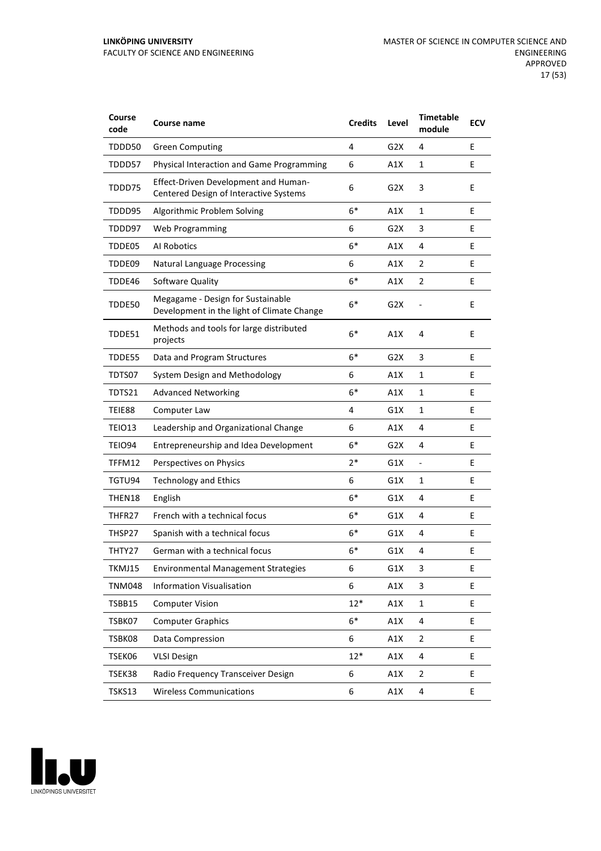| Course<br>code | <b>Course name</b>                                                              | <b>Credits</b> | Level            | <b>Timetable</b><br>module | <b>ECV</b> |
|----------------|---------------------------------------------------------------------------------|----------------|------------------|----------------------------|------------|
| TDDD50         | <b>Green Computing</b>                                                          | 4              | G2X              | 4                          | E          |
| TDDD57         | Physical Interaction and Game Programming                                       | 6              | A1X              | $\mathbf{1}$               | E          |
| TDDD75         | Effect-Driven Development and Human-<br>Centered Design of Interactive Systems  | 6              | G2X              | 3                          | E          |
| TDDD95         | Algorithmic Problem Solving                                                     | $6*$           | A1X              | 1                          | E          |
| TDDD97         | <b>Web Programming</b>                                                          | 6              | G2X              | 3                          | E          |
| TDDE05         | Al Robotics                                                                     | $6*$           | A1X              | 4                          | E          |
| TDDE09         | <b>Natural Language Processing</b>                                              | 6              | A1X              | 2                          | E          |
| TDDE46         | Software Quality                                                                | $6*$           | A1X              | $\overline{2}$             | E          |
| TDDE50         | Megagame - Design for Sustainable<br>Development in the light of Climate Change | $6*$           | G <sub>2</sub> X |                            | E          |
| TDDE51         | Methods and tools for large distributed<br>projects                             | $6*$           | A1X              | 4                          | E          |
| TDDE55         | Data and Program Structures                                                     | $6*$           | G2X              | 3                          | E          |
| TDTS07         | System Design and Methodology                                                   | 6              | A1X              | 1                          | E          |
| TDTS21         | <b>Advanced Networking</b>                                                      | $6*$           | A1X              | 1                          | E          |
| TEIE88         | Computer Law                                                                    | 4              | G1X              | $\mathbf{1}$               | E          |
| TEIO13         | Leadership and Organizational Change                                            | 6              | A1X              | 4                          | E          |
| TEIO94         | Entrepreneurship and Idea Development                                           | $6*$           | G2X              | 4                          | E          |
| TFFM12         | Perspectives on Physics                                                         | 2*             | G1X              | $\overline{\phantom{a}}$   | E          |
| TGTU94         | <b>Technology and Ethics</b>                                                    | 6              | G1X              | 1                          | E          |
| THEN18         | English                                                                         | $6*$           | G1X              | 4                          | Е          |
| THFR27         | French with a technical focus                                                   | $6*$           | G1X              | 4                          | E          |
| THSP27         | Spanish with a technical focus                                                  | $6*$           | G1X              | 4                          | E          |
| THTY27         | German with a technical focus                                                   | 6*             | G1X              | 4                          | E          |
| TKMJ15         | <b>Environmental Management Strategies</b>                                      | 6              | G1X              | 3                          | E          |
| <b>TNM048</b>  | <b>Information Visualisation</b>                                                | 6              | A1X              | 3                          | E.         |
| TSBB15         | <b>Computer Vision</b>                                                          | $12*$          | A1X              | $\mathbf{1}$               | E          |
| TSBK07         | <b>Computer Graphics</b>                                                        | $6*$           | A1X              | 4                          | E          |
| TSBK08         | Data Compression                                                                | 6              | A1X              | $\overline{2}$             | E          |
| TSEK06         | <b>VLSI Design</b>                                                              | $12*$          | A1X              | 4                          | E          |
| TSEK38         | Radio Frequency Transceiver Design                                              | 6              | A1X              | $\overline{2}$             | E          |
| TSKS13         | <b>Wireless Communications</b>                                                  | 6              | A1X              | 4                          | E          |

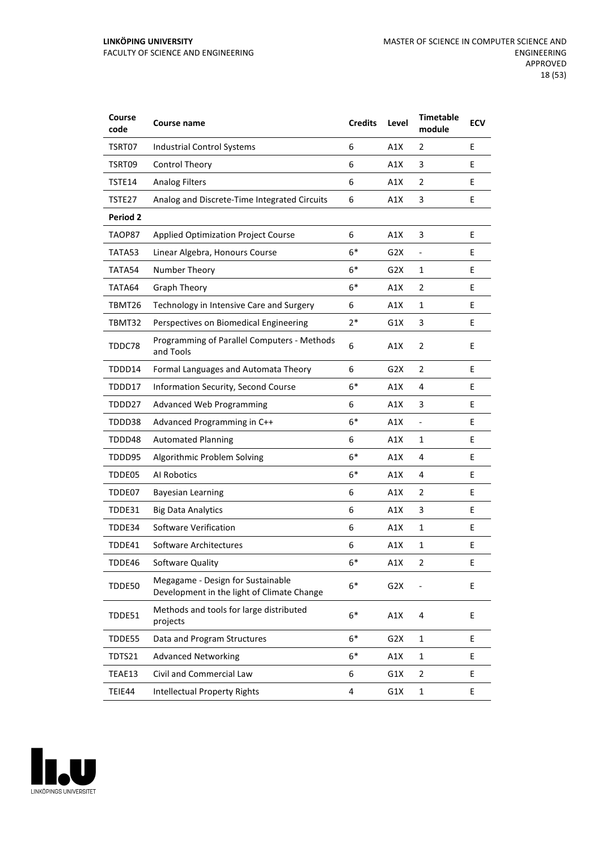| Course<br>code  | <b>Course name</b>                                                              | <b>Credits</b> | Level            | <b>Timetable</b><br>module   | <b>ECV</b> |
|-----------------|---------------------------------------------------------------------------------|----------------|------------------|------------------------------|------------|
| TSRT07          | <b>Industrial Control Systems</b>                                               | 6              | A1X              | 2                            | E          |
| TSRT09          | <b>Control Theory</b>                                                           | 6              | A1X              | 3                            | E          |
| TSTE14          | <b>Analog Filters</b>                                                           | 6              | A1X              | 2                            | E          |
| TSTE27          | Analog and Discrete-Time Integrated Circuits                                    | 6              | A1X              | 3                            | E          |
| <b>Period 2</b> |                                                                                 |                |                  |                              |            |
| TAOP87          | <b>Applied Optimization Project Course</b>                                      | 6              | A1X              | 3                            | E          |
| TATA53          | Linear Algebra, Honours Course                                                  | $6*$           | G2X              | $\qquad \qquad \blacksquare$ | Е          |
| TATA54          | Number Theory                                                                   | $6*$           | G2X              | 1                            | E          |
| TATA64          | Graph Theory                                                                    | $6*$           | A1X              | $\overline{2}$               | E          |
| TBMT26          | Technology in Intensive Care and Surgery                                        | 6              | A1X              | $\mathbf{1}$                 | E          |
| TBMT32          | Perspectives on Biomedical Engineering                                          | $2*$           | G1X              | 3                            | E          |
| TDDC78          | Programming of Parallel Computers - Methods<br>and Tools                        | 6              | A1X              | $\overline{2}$               | E          |
| TDDD14          | Formal Languages and Automata Theory                                            | 6              | G <sub>2</sub> X | 2                            | E          |
| TDDD17          | Information Security, Second Course                                             | $6*$           | A1X              | 4                            | E          |
| TDDD27          | Advanced Web Programming                                                        | 6              | A1X              | 3                            | E          |
| TDDD38          | Advanced Programming in C++                                                     | $6*$           | A1X              | $\overline{\phantom{a}}$     | E          |
| TDDD48          | <b>Automated Planning</b>                                                       | 6              | A1X              | 1                            | E          |
| TDDD95          | Algorithmic Problem Solving                                                     | $6*$           | A1X              | 4                            | E          |
| TDDE05          | Al Robotics                                                                     | $6*$           | A1X              | 4                            | E          |
| TDDE07          | <b>Bayesian Learning</b>                                                        | 6              | A1X              | $\overline{2}$               | E          |
| TDDE31          | <b>Big Data Analytics</b>                                                       | 6              | A1X              | 3                            | Е          |
| TDDE34          | Software Verification                                                           | 6              | A1X              | 1                            | E          |
| TDDE41          | Software Architectures                                                          | 6              | A1X              | 1                            | E          |
| TDDE46          | Software Quality                                                                | $6*$           | A1X              | 2                            | Ε          |
| TDDE50          | Megagame - Design for Sustainable<br>Development in the light of Climate Change | $6*$           | G <sub>2</sub> X |                              | E          |
| TDDE51          | Methods and tools for large distributed<br>projects                             | $6*$           | A1X              | 4                            | E          |
| TDDE55          | Data and Program Structures                                                     | $6*$           | G <sub>2</sub> X | $\mathbf{1}$                 | E          |
| TDTS21          | <b>Advanced Networking</b>                                                      | $6*$           | A1X              | $\mathbf{1}$                 | E          |
| TEAE13          | Civil and Commercial Law                                                        | 6              | G1X              | $\mathbf 2$                  | E          |
| TEIE44          | <b>Intellectual Property Rights</b>                                             | 4              | G1X              | $\mathbf{1}$                 | E          |

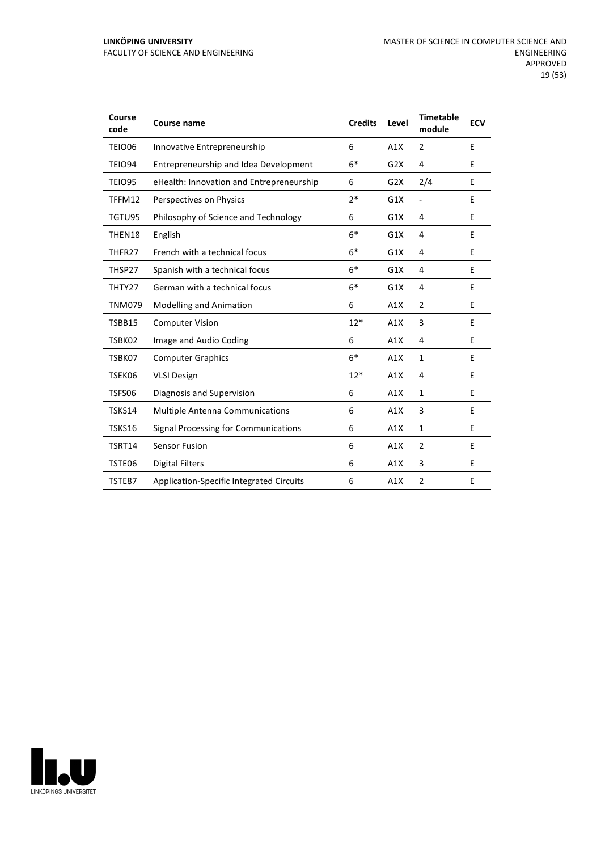#### **LINKÖPING UNIVERSITY** FACULTY OF SCIENCE AND ENGINEERING

| Course<br>code | <b>Course name</b>                              | <b>Credits</b> | Level | <b>Timetable</b><br>module | <b>ECV</b> |
|----------------|-------------------------------------------------|----------------|-------|----------------------------|------------|
| <b>TEIO06</b>  | Innovative Entrepreneurship                     | 6              | A1X   | $\overline{2}$             | E          |
| <b>TEIO94</b>  | Entrepreneurship and Idea Development           | $6*$           | G2X   | 4                          | E          |
| <b>TEIO95</b>  | eHealth: Innovation and Entrepreneurship        | 6              | G2X   | 2/4                        | E          |
| TFFM12         | Perspectives on Physics                         | $2*$           | G1X   | $\overline{\phantom{a}}$   | E          |
| TGTU95         | Philosophy of Science and Technology            | 6              | G1X   | 4                          | E          |
| THEN18         | English                                         | $6*$           | G1X   | 4                          | E          |
| THFR27         | French with a technical focus                   | $6*$           | G1X   | 4                          | E          |
| THSP27         | Spanish with a technical focus                  | $6*$           | G1X   | 4                          | E          |
| THTY27         | German with a technical focus                   | $6*$           | G1X   | 4                          | E          |
| <b>TNM079</b>  | <b>Modelling and Animation</b>                  | 6              | A1X   | $\overline{2}$             | E          |
| TSBB15         | <b>Computer Vision</b>                          | $12*$          | A1X   | 3                          | E          |
| TSBK02         | Image and Audio Coding                          | 6              | A1X   | 4                          | E          |
| TSBK07         | <b>Computer Graphics</b>                        | $6*$           | A1X   | $\mathbf{1}$               | E          |
| TSEK06         | <b>VLSI Design</b>                              | $12*$          | A1X   | 4                          | E          |
| TSFS06         | Diagnosis and Supervision                       | 6              | A1X   | $\mathbf{1}$               | E          |
| TSKS14         | <b>Multiple Antenna Communications</b>          | 6              | A1X   | 3                          | E          |
| <b>TSKS16</b>  | Signal Processing for Communications            | 6              | A1X   | $\mathbf{1}$               | E          |
| TSRT14         | <b>Sensor Fusion</b>                            | 6              | A1X   | $\overline{2}$             | E          |
| TSTE06         | <b>Digital Filters</b>                          | 6              | A1X   | 3                          | E          |
| TSTE87         | <b>Application-Specific Integrated Circuits</b> | 6              | A1X   | 2                          | E          |

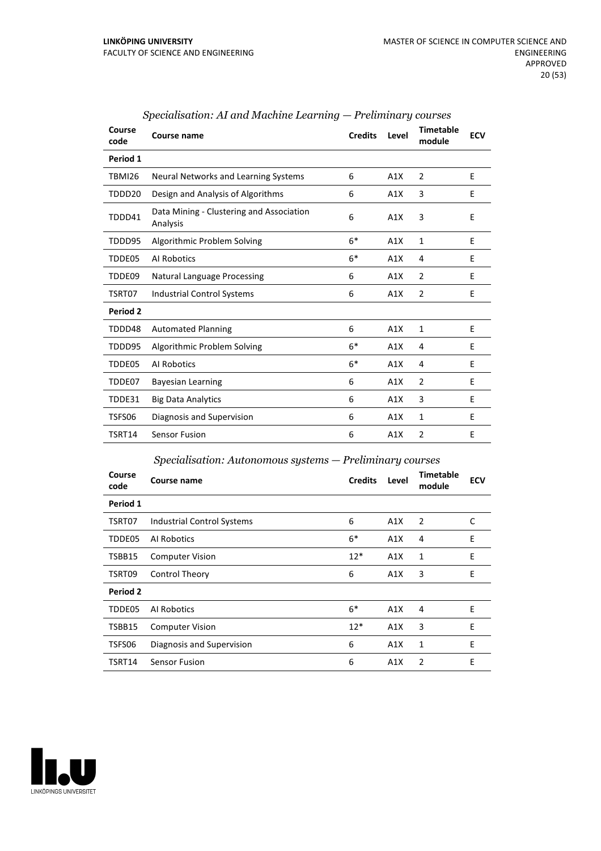| Course<br>code | Course name                                          | <b>Credits</b> | Level | <b>Timetable</b><br>module | <b>ECV</b> |
|----------------|------------------------------------------------------|----------------|-------|----------------------------|------------|
| Period 1       |                                                      |                |       |                            |            |
| <b>TBMI26</b>  | Neural Networks and Learning Systems                 | 6              | A1X   | $\overline{2}$             | E          |
| TDDD20         | Design and Analysis of Algorithms                    | 6              | A1X   | 3                          | E          |
| TDDD41         | Data Mining - Clustering and Association<br>Analysis | 6              | A1X   | 3                          | E          |
| TDDD95         | Algorithmic Problem Solving                          | $6*$           | A1X   | $\mathbf{1}$               | E          |
| TDDE05         | Al Robotics                                          | $6*$           | A1X   | 4                          | E          |
| TDDE09         | <b>Natural Language Processing</b>                   | 6              | A1X   | $\overline{2}$             | E          |
| TSRT07         | <b>Industrial Control Systems</b>                    | 6              | A1X   | $\overline{2}$             | E          |
| Period 2       |                                                      |                |       |                            |            |
| TDDD48         | <b>Automated Planning</b>                            | 6              | A1X   | $\mathbf{1}$               | E          |
| TDDD95         | Algorithmic Problem Solving                          | $6*$           | A1X   | 4                          | E          |
| TDDE05         | Al Robotics                                          | $6*$           | A1X   | 4                          | E          |
| TDDE07         | <b>Bayesian Learning</b>                             | 6              | A1X   | $\overline{2}$             | E          |
| TDDE31         | <b>Big Data Analytics</b>                            | 6              | A1X   | 3                          | E          |
| TSFS06         | Diagnosis and Supervision                            | 6              | A1X   | $\mathbf{1}$               | E          |
| TSRT14         | Sensor Fusion                                        | 6              | A1X   | $\overline{2}$             | E          |

#### *Specialisation: AI and Machine Learning — Preliminary courses*

#### *Specialisation: Autonomous systems — Preliminary courses*

| Course<br>code | <b>Course name</b>                | <b>Credits</b> | Level | <b>Timetable</b><br>module | <b>ECV</b> |
|----------------|-----------------------------------|----------------|-------|----------------------------|------------|
| Period 1       |                                   |                |       |                            |            |
| TSRT07         | <b>Industrial Control Systems</b> | 6              | A1X   | 2                          | C          |
| TDDE05         | Al Robotics                       | $6*$           | A1X   | 4                          | E          |
| TSBB15         | <b>Computer Vision</b>            | $12*$          | A1X   | 1                          | E          |
| TSRT09         | Control Theory                    | 6              | A1X   | 3                          | E          |
| Period 2       |                                   |                |       |                            |            |
| TDDE05         | Al Robotics                       | $6*$           | A1X   | 4                          | E          |
| TSBB15         | <b>Computer Vision</b>            | $12*$          | A1X   | 3                          | E          |
| TSFS06         | Diagnosis and Supervision         | 6              | A1X   | 1                          | E          |
| TSRT14         | <b>Sensor Fusion</b>              | 6              | A1X   | 2                          | E          |

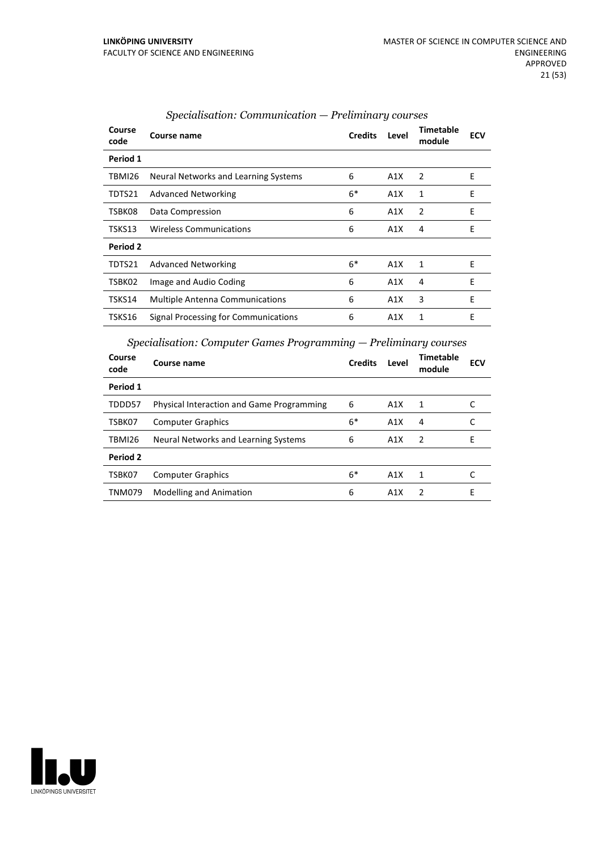| Course<br>code | Course name                            | <b>Credits</b> | Level | Timetable<br>module | <b>ECV</b> |
|----------------|----------------------------------------|----------------|-------|---------------------|------------|
| Period 1       |                                        |                |       |                     |            |
| TBMI26         | Neural Networks and Learning Systems   | 6              | A1X   | $\overline{2}$      | E          |
| TDTS21         | <b>Advanced Networking</b>             | $6*$           | A1X   | 1                   | E          |
| TSBK08         | Data Compression                       | 6              | A1X   | $\overline{2}$      | E          |
| TSKS13         | <b>Wireless Communications</b>         | 6              | A1X   | 4                   | E          |
| Period 2       |                                        |                |       |                     |            |
| TDTS21         | <b>Advanced Networking</b>             | $6*$           | A1X   | 1                   | E          |
| TSBK02         | Image and Audio Coding                 | 6              | A1X   | 4                   | E          |
| TSKS14         | <b>Multiple Antenna Communications</b> | 6              | A1X   | 3                   | E          |
| TSKS16         | Signal Processing for Communications   | 6              | A1X   | 1                   | E          |

#### *Specialisation: Communication — Preliminary courses*

*Specialisation: Computer Games Programming — Preliminary courses*

| Course<br>code | Course name                                      | <b>Credits</b> | Level | Timetable<br>module | <b>ECV</b> |
|----------------|--------------------------------------------------|----------------|-------|---------------------|------------|
| Period 1       |                                                  |                |       |                     |            |
| TDDD57         | <b>Physical Interaction and Game Programming</b> | 6              | A1X   | 1                   |            |
| TSBK07         | <b>Computer Graphics</b>                         | $6*$           | A1X   | 4                   |            |
| TBMI26         | Neural Networks and Learning Systems             | 6              | A1X   | -2                  | F          |
| Period 2       |                                                  |                |       |                     |            |
| TSBK07         | <b>Computer Graphics</b>                         | $6*$           | A1X   | 1                   |            |
| <b>TNM079</b>  | <b>Modelling and Animation</b>                   | 6              | A1X   | $\mathcal{P}$       | Е          |

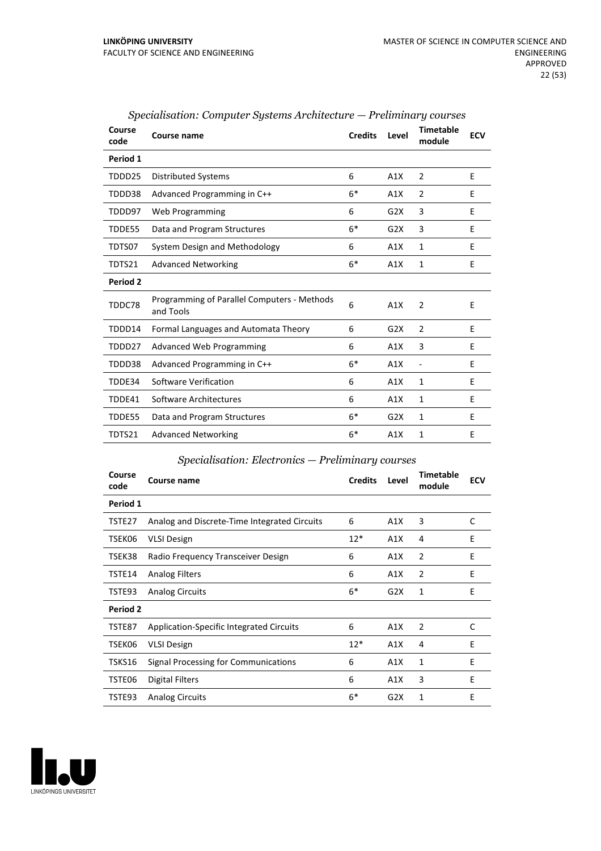| Course<br>code | Course name                                              | <b>Credits</b> | Level | <b>Timetable</b><br>module   | <b>ECV</b> |
|----------------|----------------------------------------------------------|----------------|-------|------------------------------|------------|
| Period 1       |                                                          |                |       |                              |            |
| TDDD25         | <b>Distributed Systems</b>                               | 6              | A1X   | $\overline{2}$               | E          |
| TDDD38         | Advanced Programming in C++                              | $6*$           | A1X   | 2                            | E          |
| TDDD97         | Web Programming                                          | 6              | G2X   | 3                            | E          |
| TDDE55         | Data and Program Structures                              | $6*$           | G2X   | 3                            | E          |
| TDTS07         | System Design and Methodology                            | 6              | A1X   | 1                            | F          |
| TDTS21         | <b>Advanced Networking</b>                               | $6*$           | A1X   | 1                            | E          |
| Period 2       |                                                          |                |       |                              |            |
| TDDC78         | Programming of Parallel Computers - Methods<br>and Tools | 6              | A1X   | 2                            | E          |
| TDDD14         | Formal Languages and Automata Theory                     | 6              | G2X   | $\overline{2}$               | E          |
| TDDD27         | <b>Advanced Web Programming</b>                          | 6              | A1X   | 3                            | E          |
| TDDD38         | Advanced Programming in C++                              | $6*$           | A1X   | $\qquad \qquad \blacksquare$ | E          |
| TDDE34         | Software Verification                                    | 6              | A1X   | 1                            | E          |
| TDDE41         | Software Architectures                                   | 6              | A1X   | 1                            | E          |
| TDDE55         | Data and Program Structures                              | $6*$           | G2X   | 1                            | E          |
| TDTS21         | <b>Advanced Networking</b>                               | $6*$           | A1X   | 1                            | E          |

#### *Specialisation: Computer Systems Architecture — Preliminary courses*

#### *Specialisation: Electronics — Preliminary courses*

| Course<br>code | Course name                                  | <b>Credits</b> | Level | <b>Timetable</b><br>module | <b>ECV</b> |
|----------------|----------------------------------------------|----------------|-------|----------------------------|------------|
| Period 1       |                                              |                |       |                            |            |
| TSTE27         | Analog and Discrete-Time Integrated Circuits | 6              | A1X   | 3                          | C          |
| TSEK06         | <b>VLSI Design</b>                           | $12*$          | A1X   | 4                          | E          |
| TSEK38         | Radio Frequency Transceiver Design           | 6              | A1X   | $\overline{2}$             | E          |
| TSTE14         | <b>Analog Filters</b>                        | 6              | A1X   | 2                          | E          |
| TSTE93         | <b>Analog Circuits</b>                       | $6*$           | G2X   | 1                          | E          |
| Period 2       |                                              |                |       |                            |            |
| TSTE87         | Application-Specific Integrated Circuits     | 6              | A1X   | 2                          | C          |
| TSEK06         | <b>VLSI Design</b>                           | $12*$          | A1X   | 4                          | E          |
| TSKS16         | Signal Processing for Communications         | 6              | A1X   | 1                          | E          |
| TSTE06         | Digital Filters                              | 6              | A1X   | 3                          | E          |
| TSTE93         | <b>Analog Circuits</b>                       | $6*$           | G2X   | 1                          | E          |

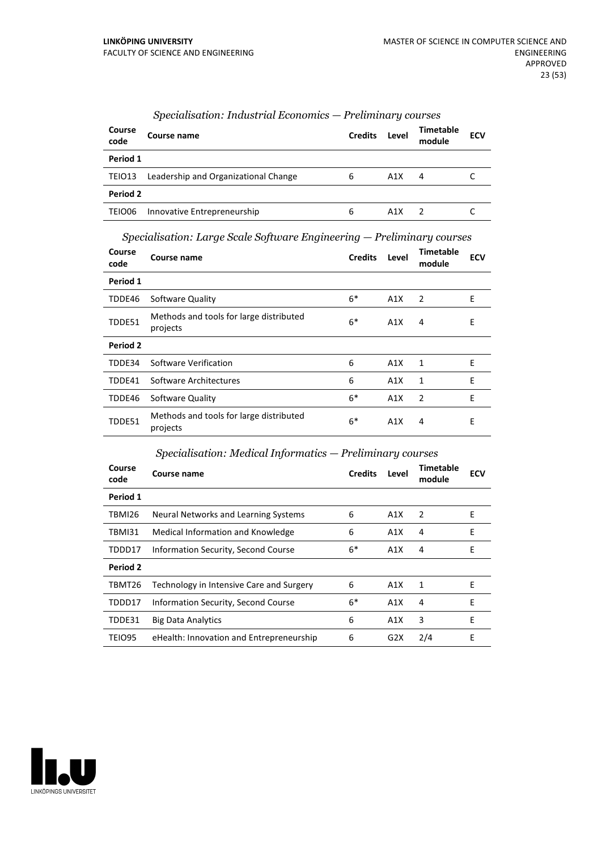| Course<br>code | Course name                          | <b>Credits</b> | Level | Timetable<br>module | <b>ECV</b> |
|----------------|--------------------------------------|----------------|-------|---------------------|------------|
| Period 1       |                                      |                |       |                     |            |
| TEIO13         | Leadership and Organizational Change | 6              | A1X   | 4                   |            |
| Period 2       |                                      |                |       |                     |            |
| TEIO06         | Innovative Entrepreneurship          | 6              | A1X   |                     |            |

#### *Specialisation: Industrial Economics — Preliminary courses*

*Specialisation: Large Scale Software Engineering — Preliminary courses*

| Course<br>code | Course name                                         | <b>Credits</b> | Level            | Timetable<br>module | ECV |
|----------------|-----------------------------------------------------|----------------|------------------|---------------------|-----|
| Period 1       |                                                     |                |                  |                     |     |
| TDDE46         | Software Quality                                    | $6*$           | A1X              | 2                   | E   |
| TDDE51         | Methods and tools for large distributed<br>projects | $6*$           | A1X              | 4                   | E   |
| Period 2       |                                                     |                |                  |                     |     |
| TDDE34         | Software Verification                               | 6              | A1X              | 1                   | E   |
| TDDE41         | Software Architectures                              | 6              | A1X              | 1                   | E   |
| TDDE46         | Software Quality                                    | $6*$           | A1X              | $\overline{2}$      | E   |
| TDDE51         | Methods and tools for large distributed<br>projects | $6*$           | A <sub>1</sub> X | 4                   | E   |

#### *Specialisation: Medical Informatics — Preliminary courses*

| Course<br>code | Course name                              | <b>Credits</b> | Level            | Timetable<br>module | <b>ECV</b> |
|----------------|------------------------------------------|----------------|------------------|---------------------|------------|
| Period 1       |                                          |                |                  |                     |            |
| TBMI26         | Neural Networks and Learning Systems     | 6              | A1X              | 2                   | E          |
| TBMI31         | Medical Information and Knowledge        | 6              | A <sub>1</sub> X | 4                   | Е          |
| TDDD17         | Information Security, Second Course      | $6*$           | A1X              | 4                   | E          |
| Period 2       |                                          |                |                  |                     |            |
| TBMT26         | Technology in Intensive Care and Surgery | 6              | A1X              | 1                   | E          |
| TDDD17         | Information Security, Second Course      | $6*$           | A1X              | 4                   | Е          |
| TDDE31         | <b>Big Data Analytics</b>                | 6              | A1X              | 3                   | E          |
| TEIO95         | eHealth: Innovation and Entrepreneurship | 6              | G2X              | 2/4                 | E          |

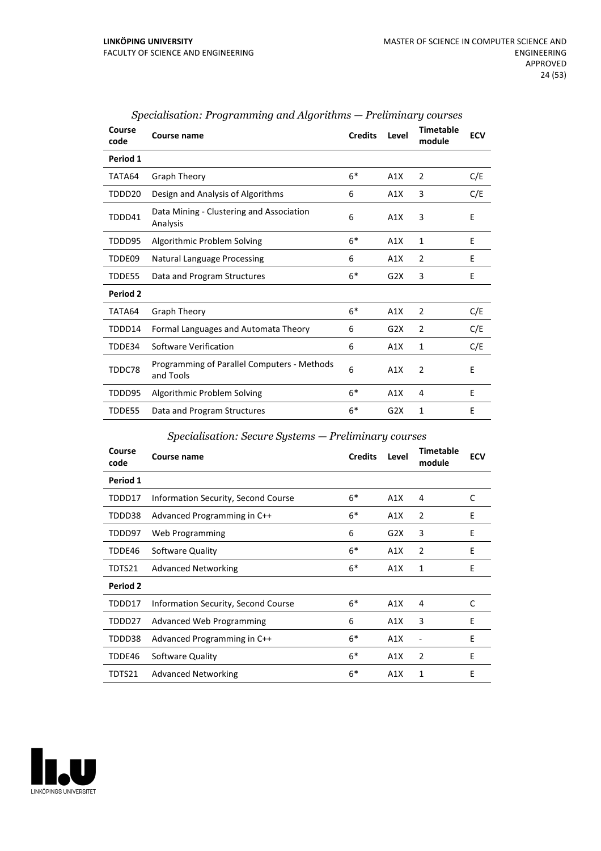| Course<br>code | Course name                                              | <b>Credits</b> | Level            | <b>Timetable</b><br>module | <b>ECV</b> |
|----------------|----------------------------------------------------------|----------------|------------------|----------------------------|------------|
| Period 1       |                                                          |                |                  |                            |            |
| TATA64         | Graph Theory                                             | $6*$           | A1X              | 2                          | C/E        |
| TDDD20         | Design and Analysis of Algorithms                        | 6              | A1X              | 3                          | C/E        |
| TDDD41         | Data Mining - Clustering and Association<br>Analysis     | 6              | A1X              | 3                          | E          |
| TDDD95         | Algorithmic Problem Solving                              | $6*$           | A1X              | 1                          | E          |
| TDDE09         | <b>Natural Language Processing</b>                       | 6              | A1X              | 2                          | E          |
| TDDE55         | Data and Program Structures                              | $6*$           | G <sub>2</sub> X | 3                          | E          |
| Period 2       |                                                          |                |                  |                            |            |
| TATA64         | Graph Theory                                             | $6*$           | A1X              | 2                          | C/E        |
| TDDD14         | Formal Languages and Automata Theory                     | 6              | G2X              | 2                          | C/E        |
| TDDE34         | Software Verification                                    | 6              | A1X              | 1                          | C/E        |
| TDDC78         | Programming of Parallel Computers - Methods<br>and Tools | 6              | A1X              | $\overline{2}$             | E          |
| TDDD95         | Algorithmic Problem Solving                              | $6*$           | A1X              | 4                          | E          |
| TDDE55         | Data and Program Structures                              | $6*$           | G <sub>2</sub> X | 1                          | E          |

#### *Specialisation: Programming and Algorithms — Preliminary courses*

#### *Specialisation: Secure Systems — Preliminary courses*

| Course<br>code | Course name                         | <b>Credits</b> | Level | Timetable<br>module | <b>ECV</b> |
|----------------|-------------------------------------|----------------|-------|---------------------|------------|
| Period 1       |                                     |                |       |                     |            |
| TDDD17         | Information Security, Second Course | $6*$           | A1X   | 4                   | C          |
| TDDD38         | Advanced Programming in C++         | $6*$           | A1X   | $\overline{2}$      | E          |
| TDDD97         | Web Programming                     | 6              | G2X   | 3                   | Ε          |
| TDDE46         | Software Quality                    | $6*$           | A1X   | $\overline{2}$      | E          |
| TDTS21         | <b>Advanced Networking</b>          | $6*$           | A1X   | 1                   | E          |
| Period 2       |                                     |                |       |                     |            |
| TDDD17         | Information Security, Second Course | $6*$           | A1X   | 4                   | C          |
| TDDD27         | <b>Advanced Web Programming</b>     | 6              | A1X   | 3                   | E          |
| TDDD38         | Advanced Programming in C++         | $6*$           | A1X   |                     | E          |
| TDDE46         | Software Quality                    | $6*$           | A1X   | $\overline{2}$      | E          |
| TDTS21         | <b>Advanced Networking</b>          | $6*$           | A1X   | 1                   | E          |

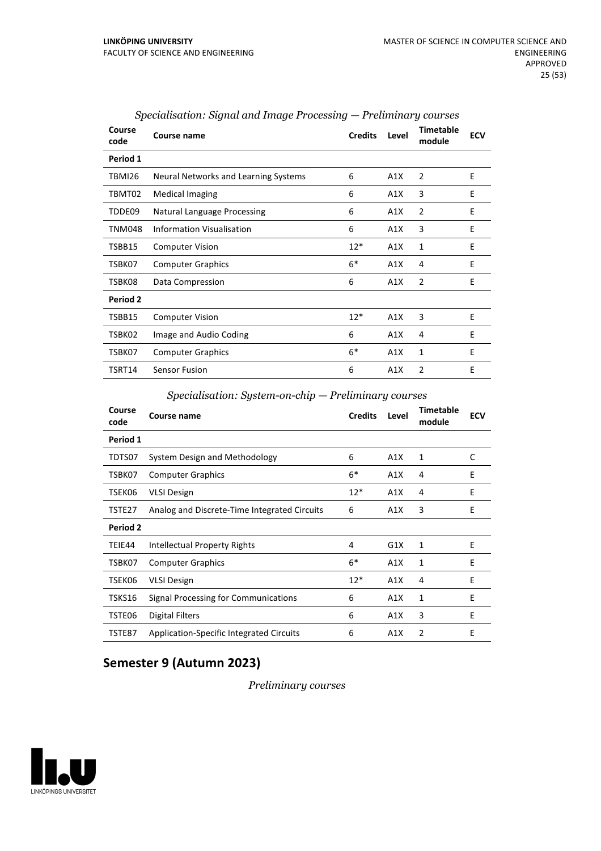| Course<br>code | Course name                          | <b>Credits</b> | Level | <b>Timetable</b><br>module | <b>ECV</b> |
|----------------|--------------------------------------|----------------|-------|----------------------------|------------|
| Period 1       |                                      |                |       |                            |            |
| TBMI26         | Neural Networks and Learning Systems | 6              | A1X   | 2                          | E          |
| TBMT02         | <b>Medical Imaging</b>               | 6              | A1X   | 3                          | E          |
| TDDE09         | Natural Language Processing          | 6              | A1X   | 2                          | E          |
| TNM048         | <b>Information Visualisation</b>     | 6              | A1X   | 3                          | E          |
| TSBB15         | <b>Computer Vision</b>               | $12*$          | A1X   | 1                          | E          |
| TSBK07         | <b>Computer Graphics</b>             | $6*$           | A1X   | 4                          | E          |
| TSBK08         | Data Compression                     | 6              | A1X   | $\overline{2}$             | E          |
| Period 2       |                                      |                |       |                            |            |
| TSBB15         | <b>Computer Vision</b>               | $12*$          | A1X   | 3                          | E          |
| TSBK02         | Image and Audio Coding               | 6              | A1X   | 4                          | E          |
| TSBK07         | <b>Computer Graphics</b>             | $6*$           | A1X   | 1                          | E          |
| TSRT14         | <b>Sensor Fusion</b>                 | 6              | A1X   | 2                          | E          |

| Specialisation: Signal and Image Processing — Preliminary courses |  |  |  |  |
|-------------------------------------------------------------------|--|--|--|--|
|-------------------------------------------------------------------|--|--|--|--|

*Specialisation: System-on-chip — Preliminary courses*

| Course<br>code  | Course name                                     | <b>Credits</b> | Level | <b>Timetable</b><br>module | <b>ECV</b> |
|-----------------|-------------------------------------------------|----------------|-------|----------------------------|------------|
| Period 1        |                                                 |                |       |                            |            |
| TDTS07          | System Design and Methodology                   | 6              | A1X   | 1                          | C          |
| TSBK07          | <b>Computer Graphics</b>                        | $6*$           | A1X   | 4                          | E          |
| TSEK06          | <b>VLSI Design</b>                              | $12*$          | A1X   | 4                          | E          |
| TSTE27          | Analog and Discrete-Time Integrated Circuits    | 6              | A1X   | 3                          | E          |
| <b>Period 2</b> |                                                 |                |       |                            |            |
| TEIE44          | Intellectual Property Rights                    | 4              | G1X   | 1                          | E          |
| TSBK07          | <b>Computer Graphics</b>                        | $6*$           | A1X   | $\mathbf{1}$               | E          |
| TSEK06          | <b>VLSI Design</b>                              | $12*$          | A1X   | 4                          | E          |
| TSKS16          | Signal Processing for Communications            | 6              | A1X   | 1                          | E          |
| TSTE06          | Digital Filters                                 | 6              | A1X   | 3                          | E          |
| TSTE87          | <b>Application-Specific Integrated Circuits</b> | 6              | A1X   | $\overline{2}$             | E          |

## **Semester 9 (Autumn 2023)**

*Preliminary courses*

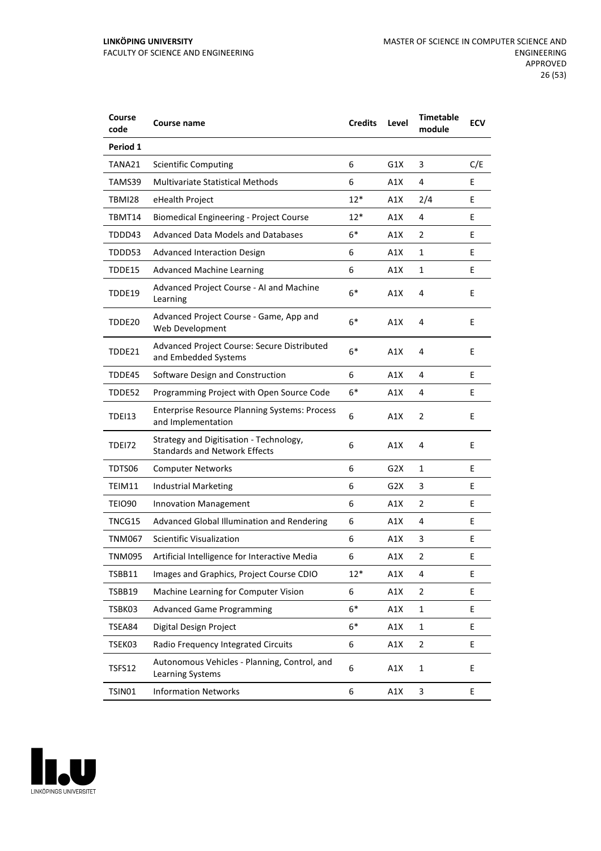| Course<br>code | <b>Course name</b>                                                              | <b>Credits</b> | Level | <b>Timetable</b><br>module | <b>ECV</b> |
|----------------|---------------------------------------------------------------------------------|----------------|-------|----------------------------|------------|
| Period 1       |                                                                                 |                |       |                            |            |
| TANA21         | <b>Scientific Computing</b>                                                     | 6              | G1X   | 3                          | C/E        |
| TAMS39         | <b>Multivariate Statistical Methods</b>                                         | 6              | A1X   | 4                          | E          |
| TBMI28         | eHealth Project                                                                 | $12*$          | A1X   | 2/4                        | E          |
| TBMT14         | <b>Biomedical Engineering - Project Course</b>                                  | $12*$          | A1X   | 4                          | E          |
| TDDD43         | Advanced Data Models and Databases                                              | $6*$           | A1X   | 2                          | E          |
| TDDD53         | <b>Advanced Interaction Design</b>                                              | 6              | A1X   | 1                          | E          |
| TDDE15         | <b>Advanced Machine Learning</b>                                                | 6              | A1X   | 1                          | E          |
| TDDE19         | Advanced Project Course - AI and Machine<br>Learning                            | $6*$           | A1X   | 4                          | E          |
| TDDE20         | Advanced Project Course - Game, App and<br>Web Development                      | $6*$           | A1X   | 4                          | E          |
| TDDE21         | Advanced Project Course: Secure Distributed<br>and Embedded Systems             | $6*$           | A1X   | 4                          | E          |
| TDDE45         | Software Design and Construction                                                | 6              | A1X   | 4                          | E          |
| TDDE52         | Programming Project with Open Source Code                                       | 6*             | A1X   | 4                          | Ε          |
| TDEI13         | <b>Enterprise Resource Planning Systems: Process</b><br>and Implementation      | 6              | A1X   | $\overline{2}$             | E          |
| TDEI72         | Strategy and Digitisation - Technology,<br><b>Standards and Network Effects</b> | 6              | A1X   | 4                          | E          |
| TDTS06         | <b>Computer Networks</b>                                                        | 6              | G2X   | 1                          | E          |
| TEIM11         | <b>Industrial Marketing</b>                                                     | 6              | G2X   | 3                          | E          |
| TEIO90         | Innovation Management                                                           | 6              | A1X   | 2                          | Ε          |
| TNCG15         | Advanced Global Illumination and Rendering                                      | 6              | A1X   | 4                          | E          |
| <b>TNM067</b>  | <b>Scientific Visualization</b>                                                 | 6              | A1X   | 3                          | E          |
| TNM095         | Artificial Intelligence for Interactive Media                                   | 6              | A1X   | 2                          | E          |
| TSBB11         | Images and Graphics, Project Course CDIO                                        | $12*$          | A1X   | 4                          | E          |
| TSBB19         | Machine Learning for Computer Vision                                            | 6              | A1X   | 2                          | E          |
| TSBK03         | <b>Advanced Game Programming</b>                                                | $6*$           | A1X   | $\mathbf 1$                | E          |
| TSEA84         | Digital Design Project                                                          | $6*$           | A1X   | 1                          | E          |
| TSEK03         | Radio Frequency Integrated Circuits                                             | 6              | A1X   | $\overline{2}$             | E          |
| TSFS12         | Autonomous Vehicles - Planning, Control, and<br>Learning Systems                | 6              | A1X   | $\mathbf 1$                | E          |
| TSIN01         | <b>Information Networks</b>                                                     | 6              | A1X   | 3                          | E          |

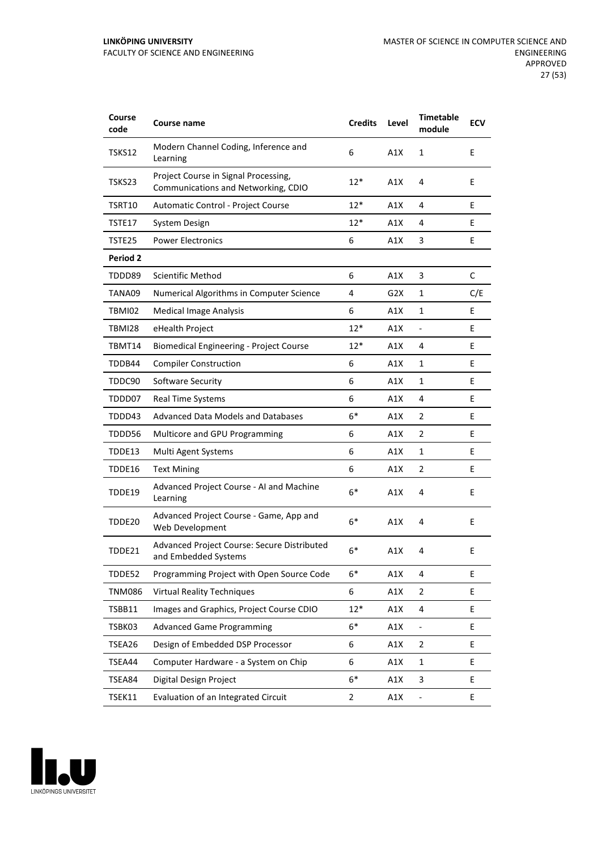| Course<br>code  | <b>Course name</b>                                                          | <b>Credits</b> | Level | <b>Timetable</b><br>module | <b>ECV</b> |
|-----------------|-----------------------------------------------------------------------------|----------------|-------|----------------------------|------------|
| TSKS12          | Modern Channel Coding, Inference and<br>Learning                            | 6              | A1X   | 1                          | E          |
| TSKS23          | Project Course in Signal Processing,<br>Communications and Networking, CDIO | 12*            | A1X   | 4                          | E          |
| TSRT10          | Automatic Control - Project Course                                          | $12*$          | A1X   | 4                          | E          |
| TSTE17          | <b>System Design</b>                                                        | $12*$          | A1X   | 4                          | E          |
| TSTE25          | <b>Power Electronics</b>                                                    | 6              | A1X   | 3                          | E          |
| <b>Period 2</b> |                                                                             |                |       |                            |            |
| TDDD89          | Scientific Method                                                           | 6              | A1X   | 3                          | C          |
| TANA09          | Numerical Algorithms in Computer Science                                    | 4              | G2X   | 1                          | C/E        |
| TBMI02          | <b>Medical Image Analysis</b>                                               | 6              | A1X   | 1                          | E          |
| <b>TBMI28</b>   | eHealth Project                                                             | $12*$          | A1X   | $\blacksquare$             | E          |
| TBMT14          | <b>Biomedical Engineering - Project Course</b>                              | $12*$          | A1X   | 4                          | E          |
| TDDB44          | <b>Compiler Construction</b>                                                | 6              | A1X   | 1                          | E          |
| TDDC90          | Software Security                                                           | 6              | A1X   | 1                          | E          |
| TDDD07          | <b>Real Time Systems</b>                                                    | 6              | A1X   | 4                          | E          |
| TDDD43          | <b>Advanced Data Models and Databases</b>                                   | $6*$           | A1X   | 2                          | E          |
| TDDD56          | Multicore and GPU Programming                                               | 6              | A1X   | 2                          | E          |
| TDDE13          | Multi Agent Systems                                                         | 6              | A1X   | 1                          | E          |
| TDDE16          | <b>Text Mining</b>                                                          | 6              | A1X   | 2                          | E          |
| TDDE19          | Advanced Project Course - AI and Machine<br>Learning                        | $6*$           | A1X   | 4                          | E          |
| TDDE20          | Advanced Project Course - Game, App and<br>Web Development                  | $6*$           | A1X   | 4                          | E          |
| TDDE21          | Advanced Project Course: Secure Distributed<br>and Embedded Systems         | $6*$           | A1X   | 4                          | E          |
| TDDE52          | Programming Project with Open Source Code                                   | $6*$           | A1X   | 4                          | E          |
| <b>TNM086</b>   | <b>Virtual Reality Techniques</b>                                           | 6              | A1X   | 2                          | E          |
| TSBB11          | Images and Graphics, Project Course CDIO                                    | $12*$          | A1X   | 4                          | E.         |
| TSBK03          | <b>Advanced Game Programming</b>                                            | $6*$           | A1X   |                            | E          |
| TSEA26          | Design of Embedded DSP Processor                                            | 6              | A1X   | 2                          | E          |
| TSEA44          | Computer Hardware - a System on Chip                                        | 6              | A1X   | $\mathbf 1$                | E          |
| TSEA84          | Digital Design Project                                                      | $6*$           | A1X   | 3                          | E          |
| TSEK11          | Evaluation of an Integrated Circuit                                         | $\overline{2}$ | A1X   | $\overline{\phantom{0}}$   | E          |

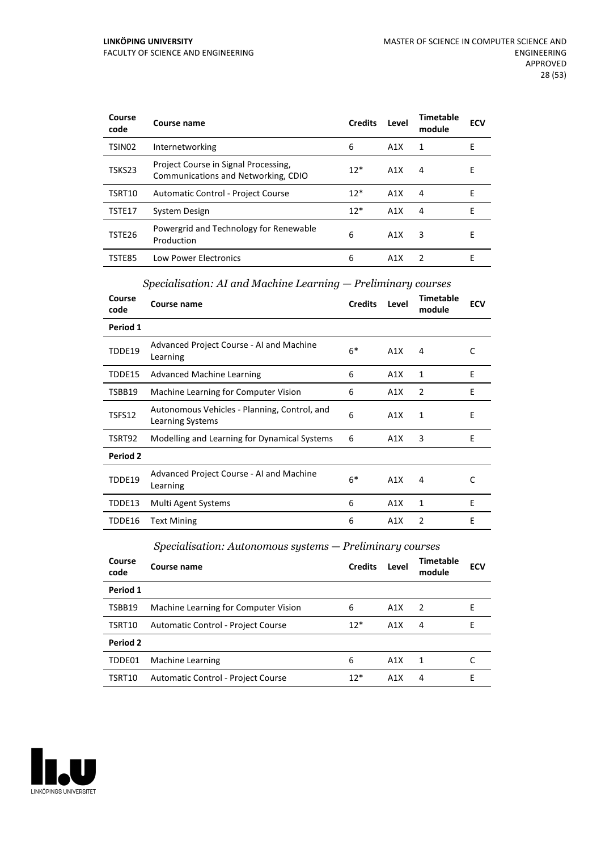| Course<br>code     | Course name                                                                 | <b>Credits</b> | Level | Timetable<br>module | <b>ECV</b> |
|--------------------|-----------------------------------------------------------------------------|----------------|-------|---------------------|------------|
| TSIN <sub>02</sub> | Internetworking                                                             | 6              | A1X   | 1                   | Е          |
| TSKS23             | Project Course in Signal Processing,<br>Communications and Networking, CDIO | $12*$          | A1X   | 4                   | E          |
| TSRT10             | Automatic Control - Project Course                                          | $12*$          | A1X   | 4                   | F          |
| TSTE17             | System Design                                                               | $12*$          | A1X   | 4                   | F          |
| TSTE26             | Powergrid and Technology for Renewable<br>Production                        | 6              | A1X   | 3                   | F          |
| TSTE85             | <b>Low Power Electronics</b>                                                | 6              | A1X   | 2                   | F          |

#### *Specialisation: AI and Machine Learning — Preliminary courses*

| Course<br>code | Course name                                                      | <b>Credits</b> | Level | Timetable<br>module | ECV |
|----------------|------------------------------------------------------------------|----------------|-------|---------------------|-----|
| Period 1       |                                                                  |                |       |                     |     |
| TDDE19         | Advanced Project Course - AI and Machine<br>Learning             | $6*$           | A1X   | 4                   | C   |
| TDDE15         | <b>Advanced Machine Learning</b>                                 | 6              | A1X   | 1                   | E   |
| TSBB19         | Machine Learning for Computer Vision                             | 6              | A1X   | 2                   | E   |
| TSFS12         | Autonomous Vehicles - Planning, Control, and<br>Learning Systems | 6              | A1X   | 1                   | E   |
| TSRT92         | Modelling and Learning for Dynamical Systems                     | 6              | A1X   | 3                   | E   |
| Period 2       |                                                                  |                |       |                     |     |
| TDDE19         | Advanced Project Course - AI and Machine<br>Learning             | $6*$           | A1X   | 4                   | C   |
| TDDE13         | Multi Agent Systems                                              | 6              | A1X   | 1                   | E   |
| TDDE16         | <b>Text Mining</b>                                               | 6              | A1X   | 2                   | E   |

*Specialisation: Autonomous systems — Preliminary courses*

| Course<br>code | Course name                          | <b>Credits</b> | Level | Timetable<br>module | <b>ECV</b> |
|----------------|--------------------------------------|----------------|-------|---------------------|------------|
| Period 1       |                                      |                |       |                     |            |
| TSBB19         | Machine Learning for Computer Vision | 6              | A1X   | $\overline{2}$      | F          |
| TSRT10         | Automatic Control - Project Course   | $12*$          | A1X   | 4                   | F          |
| Period 2       |                                      |                |       |                     |            |
| TDDE01         | Machine Learning                     | 6              | A1X   | -1                  |            |
| TSRT10         | Automatic Control - Project Course   | $12*$          | A1X   | 4                   | F          |

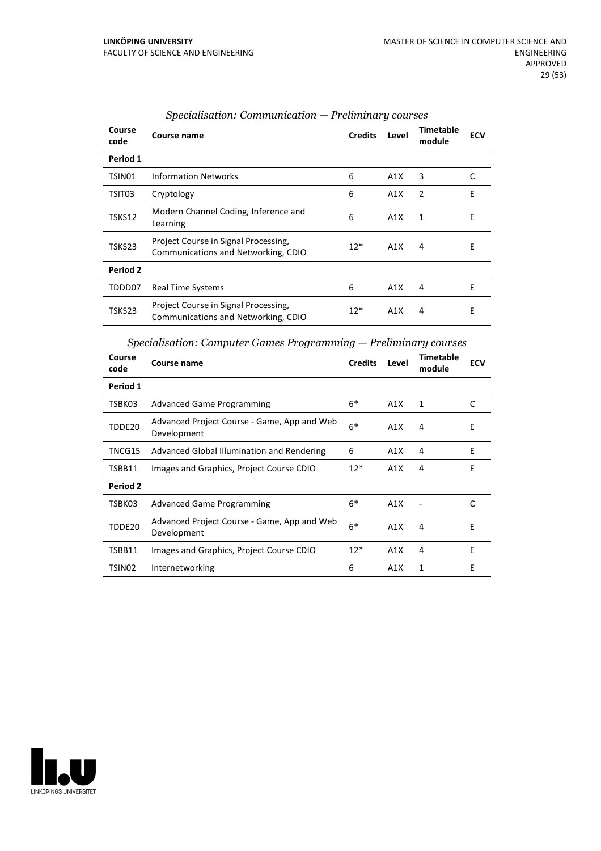| Course<br>code | Course name                                                                 | <b>Credits</b> | Level | Timetable<br>module | <b>ECV</b> |
|----------------|-----------------------------------------------------------------------------|----------------|-------|---------------------|------------|
| Period 1       |                                                                             |                |       |                     |            |
| TSIN01         | <b>Information Networks</b>                                                 | 6              | A1X   | 3                   | C          |
| TSIT03         | Cryptology                                                                  | 6              | A1X   | 2                   | E          |
| TSKS12         | Modern Channel Coding, Inference and<br>Learning                            | 6              | A1X   | 1                   | E          |
| TSKS23         | Project Course in Signal Processing,<br>Communications and Networking, CDIO | $12*$          | A1X   | 4                   | E          |
| Period 2       |                                                                             |                |       |                     |            |
| TDDD07         | <b>Real Time Systems</b>                                                    | 6              | A1X   | 4                   | E          |
| TSKS23         | Project Course in Signal Processing,<br>Communications and Networking, CDIO | $12*$          | A1X   | 4                   | Ε          |

#### *Specialisation: Communication — Preliminary courses*

*Specialisation: Computer Games Programming — Preliminary courses*

| Course<br>code | Course name                                                | <b>Credits</b> | Level | <b>Timetable</b><br>module | <b>ECV</b> |
|----------------|------------------------------------------------------------|----------------|-------|----------------------------|------------|
| Period 1       |                                                            |                |       |                            |            |
| TSBK03         | <b>Advanced Game Programming</b>                           | $6*$           | A1X   | 1                          | C          |
| TDDE20         | Advanced Project Course - Game, App and Web<br>Development | $6*$           | A1X   | 4                          | Ε          |
| TNCG15         | Advanced Global Illumination and Rendering                 | 6              | A1X   | 4                          | E          |
| TSBB11         | Images and Graphics, Project Course CDIO                   | $12*$          | A1X   | 4                          | E          |
| Period 2       |                                                            |                |       |                            |            |
| TSBK03         | <b>Advanced Game Programming</b>                           | $6*$           | A1X   |                            | C          |
| TDDE20         | Advanced Project Course - Game, App and Web<br>Development | $6*$           | A1X   | 4                          | Е          |
| TSBB11         | Images and Graphics, Project Course CDIO                   | $12*$          | A1X   | 4                          | F          |
| TSIN02         | Internetworking                                            | 6              | A1X   | 1                          | E          |

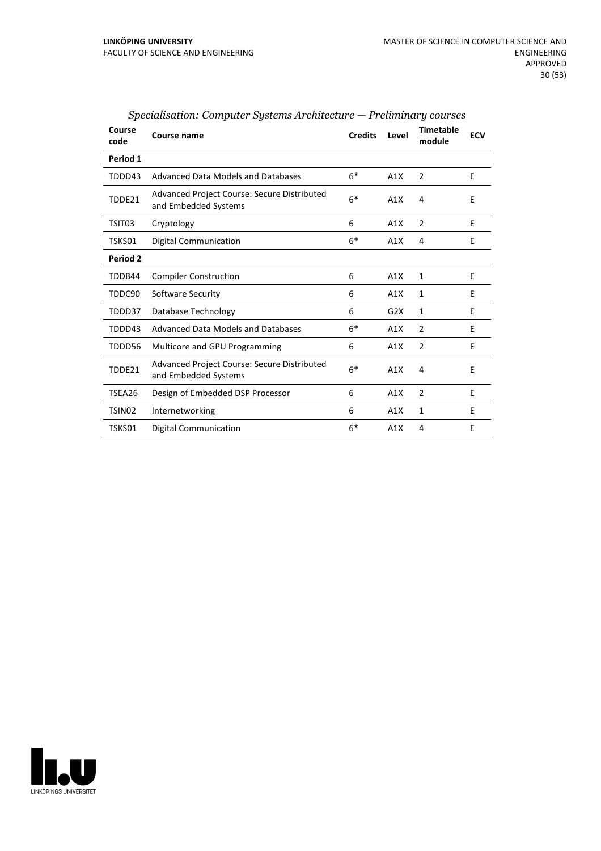| Course<br>code | Course name                                                                | <b>Credits</b> | Level | <b>Timetable</b><br>module | <b>ECV</b> |
|----------------|----------------------------------------------------------------------------|----------------|-------|----------------------------|------------|
| Period 1       |                                                                            |                |       |                            |            |
| TDDD43         | Advanced Data Models and Databases                                         | $6*$           | A1X   | 2                          | E          |
| TDDE21         | <b>Advanced Project Course: Secure Distributed</b><br>and Embedded Systems | $6*$           | A1X   | 4                          | E          |
| TSIT03         | Cryptology                                                                 | 6              | A1X   | $\overline{2}$             | E          |
| TSKS01         | <b>Digital Communication</b>                                               | $6*$           | A1X   | 4                          | E          |
| Period 2       |                                                                            |                |       |                            |            |
| TDDB44         | <b>Compiler Construction</b>                                               | 6              | A1X   | $\mathbf{1}$               | E          |
| TDDC90         | Software Security                                                          | 6              | A1X   | $\mathbf{1}$               | E          |
| TDDD37         | Database Technology                                                        | 6              | G2X   | $\mathbf{1}$               | E          |
| TDDD43         | Advanced Data Models and Databases                                         | $6*$           | A1X   | $\overline{2}$             | E          |
| TDDD56         | Multicore and GPU Programming                                              | 6              | A1X   | $\overline{2}$             | E          |
| TDDE21         | <b>Advanced Project Course: Secure Distributed</b><br>and Embedded Systems | $6*$           | A1X   | 4                          | E          |
| TSEA26         | Design of Embedded DSP Processor                                           | 6              | A1X   | 2                          | E          |
| TSIN02         | Internetworking                                                            | 6              | A1X   | 1                          | E          |
| TSKS01         | Digital Communication                                                      | $6*$           | A1X   | 4                          | E          |

*Specialisation: Computer Systems Architecture — Preliminary courses*

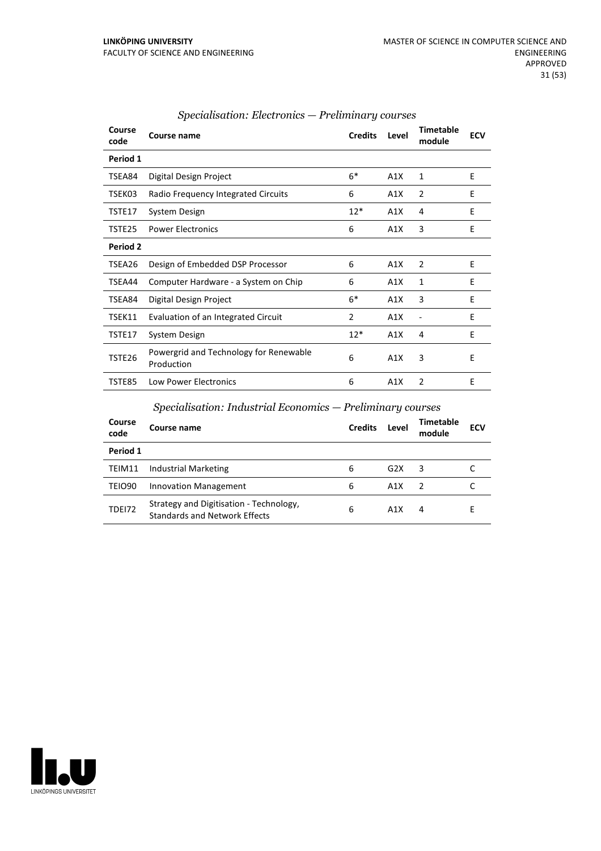| Course<br>code  | Course name                                          | <b>Credits</b> | Level | <b>Timetable</b><br>module | <b>ECV</b> |
|-----------------|------------------------------------------------------|----------------|-------|----------------------------|------------|
| Period 1        |                                                      |                |       |                            |            |
| TSEA84          | Digital Design Project                               | $6*$           | A1X   | 1                          | E          |
| TSEK03          | Radio Frequency Integrated Circuits                  | 6              | A1X   | $\overline{2}$             | E          |
| TSTE17          | System Design                                        | $12*$          | A1X   | 4                          | E          |
| TSTE25          | <b>Power Electronics</b>                             | 6              | A1X   | 3                          | Ε          |
| <b>Period 2</b> |                                                      |                |       |                            |            |
| TSEA26          | Design of Embedded DSP Processor                     | 6              | A1X   | $\overline{2}$             | E          |
| TSEA44          | Computer Hardware - a System on Chip                 | 6              | A1X   | $\mathbf{1}$               | E          |
| TSEA84          | Digital Design Project                               | $6*$           | A1X   | 3                          | Ε          |
| TSEK11          | Evaluation of an Integrated Circuit                  | 2              | A1X   | -                          | E          |
| TSTE17          | System Design                                        | $12*$          | A1X   | 4                          | E          |
| TSTE26          | Powergrid and Technology for Renewable<br>Production | 6              | A1X   | 3                          | E          |
| <b>TSTE85</b>   | <b>Low Power Electronics</b>                         | 6              | A1X   | $\overline{2}$             | E          |

#### *Specialisation: Electronics — Preliminary courses*

#### *Specialisation: Industrial Economics — Preliminary courses*

| Course<br>code     | Course name                                                                     | <b>Credits</b> | Level | <b>Timetable</b><br>module | <b>ECV</b> |
|--------------------|---------------------------------------------------------------------------------|----------------|-------|----------------------------|------------|
| Period 1           |                                                                                 |                |       |                            |            |
| TEIM11             | Industrial Marketing                                                            | 6              | G2X   | 3                          |            |
| TEIO <sub>90</sub> | Innovation Management                                                           | 6              | A1X   | $\mathcal{L}$              |            |
| <b>TDE172</b>      | Strategy and Digitisation - Technology,<br><b>Standards and Network Effects</b> | 6              | A1X   | 4                          |            |

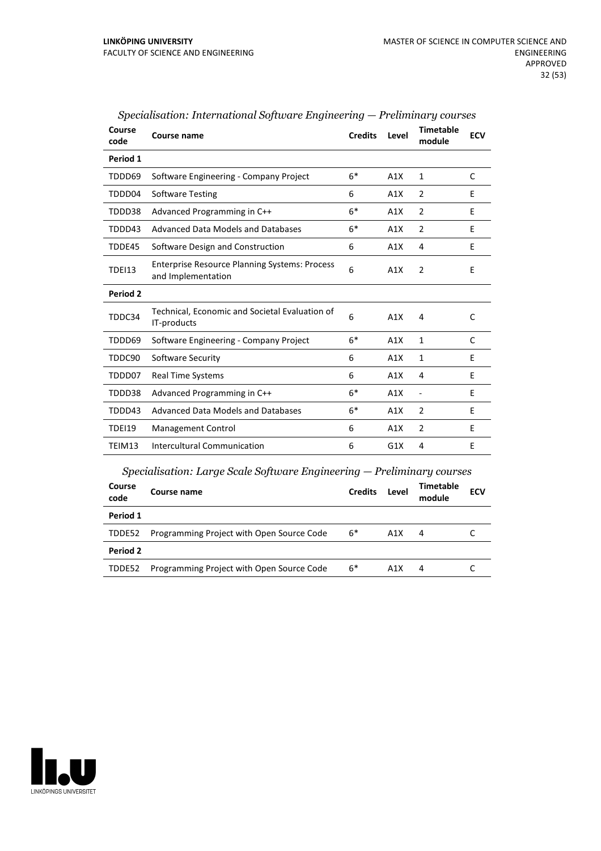| Course<br>code | Course name                                                                | <b>Credits</b> | Level | <b>Timetable</b><br>module | <b>ECV</b>   |
|----------------|----------------------------------------------------------------------------|----------------|-------|----------------------------|--------------|
| Period 1       |                                                                            |                |       |                            |              |
| TDDD69         | Software Engineering - Company Project                                     | $6*$           | A1X   | $\mathbf{1}$               | C            |
| TDDD04         | <b>Software Testing</b>                                                    | 6              | A1X   | $\overline{2}$             | E            |
| TDDD38         | Advanced Programming in C++                                                | $6*$           | A1X   | 2                          | E            |
| TDDD43         | <b>Advanced Data Models and Databases</b>                                  | $6*$           | A1X   | $\overline{2}$             | E            |
| TDDE45         | Software Design and Construction                                           | 6              | A1X   | 4                          | E            |
| <b>TDEI13</b>  | <b>Enterprise Resource Planning Systems: Process</b><br>and Implementation | 6              | A1X   | $\overline{2}$             | E            |
| Period 2       |                                                                            |                |       |                            |              |
| TDDC34         | Technical, Economic and Societal Evaluation of<br>IT-products              | 6              | A1X   | 4                          | $\mathsf{C}$ |
| TDDD69         | Software Engineering - Company Project                                     | $6*$           | A1X   | $\mathbf{1}$               | C            |
| TDDC90         | Software Security                                                          | 6              | A1X   | $\mathbf{1}$               | E            |
| TDDD07         | Real Time Systems                                                          | 6              | A1X   | 4                          | E            |
| TDDD38         | Advanced Programming in C++                                                | $6*$           | A1X   | $\overline{\phantom{a}}$   | E            |
| TDDD43         | Advanced Data Models and Databases                                         | $6*$           | A1X   | $\overline{2}$             | E            |
| <b>TDEI19</b>  | Management Control                                                         | 6              | A1X   | 2                          | E            |
| TEIM13         | <b>Intercultural Communication</b>                                         | 6              | G1X   | 4                          | E            |
|                | $Specialisation: Large Scale Software Engineering - Preliminary courses$   |                |       |                            |              |
| Course<br>code | Course name                                                                | <b>Credits</b> | Level | Timetable<br>module        | <b>ECV</b>   |
| Period 1       |                                                                            |                |       |                            |              |
| TDDE52         | Programming Project with Open Source Code                                  | $6*$           | A1X   | 4                          | C            |

TDDE52 Programming Project with Open Source Code 6\* A1X 4 C

| Specialisation: International Software Engineering — Preliminary courses |  |  |
|--------------------------------------------------------------------------|--|--|
|                                                                          |  |  |

# LINKÖPINGS UNIVERSITET

**Period 2**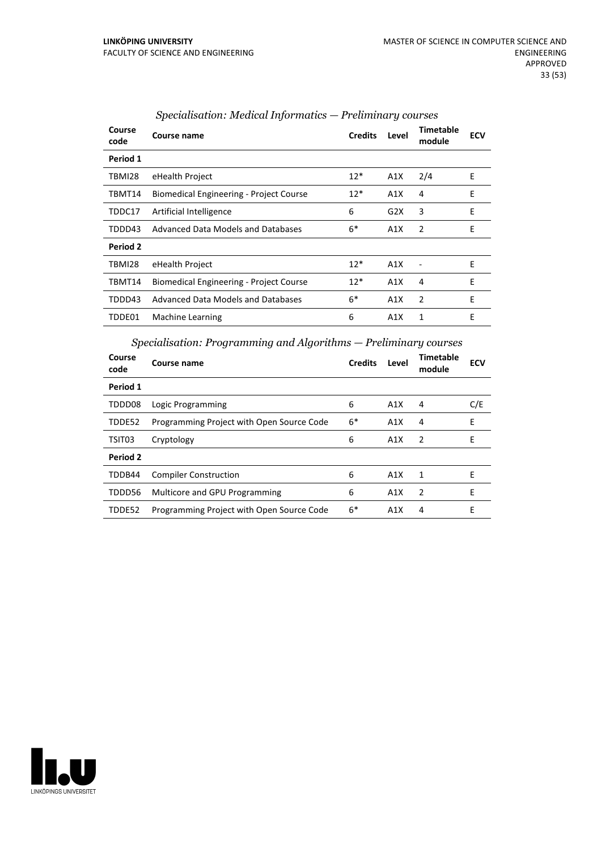| Course<br>code  | Course name                                    | <b>Credits</b> | Level | Timetable<br>module | <b>ECV</b> |
|-----------------|------------------------------------------------|----------------|-------|---------------------|------------|
| Period 1        |                                                |                |       |                     |            |
| TBMI28          | eHealth Project                                | $12*$          | A1X   | 2/4                 | E          |
| TBMT14          | <b>Biomedical Engineering - Project Course</b> | $12*$          | A1X   | 4                   | E          |
| TDDC17          | Artificial Intelligence                        | 6              | G2X   | 3                   | E          |
| TDDD43          | Advanced Data Models and Databases             | $6*$           | A1X   | 2                   | E          |
| <b>Period 2</b> |                                                |                |       |                     |            |
| TBMI28          | eHealth Project                                | $12*$          | A1X   |                     | E          |
| TBMT14          | <b>Biomedical Engineering - Project Course</b> | $12*$          | A1X   | 4                   | E          |
| TDDD43          | Advanced Data Models and Databases             | $6*$           | A1X   | $\overline{2}$      | E          |
| TDDE01          | Machine Learning                               | 6              | A1X   | 1                   | E          |

#### *Specialisation: Medical Informatics — Preliminary courses*

*Specialisation: Programming and Algorithms — Preliminary courses*

| Course<br>code | Course name                               | <b>Credits</b> | Level | <b>Timetable</b><br>module | <b>ECV</b> |
|----------------|-------------------------------------------|----------------|-------|----------------------------|------------|
| Period 1       |                                           |                |       |                            |            |
| TDDD08         | Logic Programming                         | 6              | A1X   | 4                          | C/E        |
| TDDE52         | Programming Project with Open Source Code | $6*$           | A1X   | 4                          | E          |
| TSIT03         | Cryptology                                | 6              | A1X   | 2                          | Е          |
| Period 2       |                                           |                |       |                            |            |
| TDDB44         | <b>Compiler Construction</b>              | 6              | A1X   | 1                          | F          |
| TDDD56         | Multicore and GPU Programming             | 6              | A1X   | 2                          | F          |
| TDDE52         | Programming Project with Open Source Code | $6*$           | A1X   | 4                          | F          |

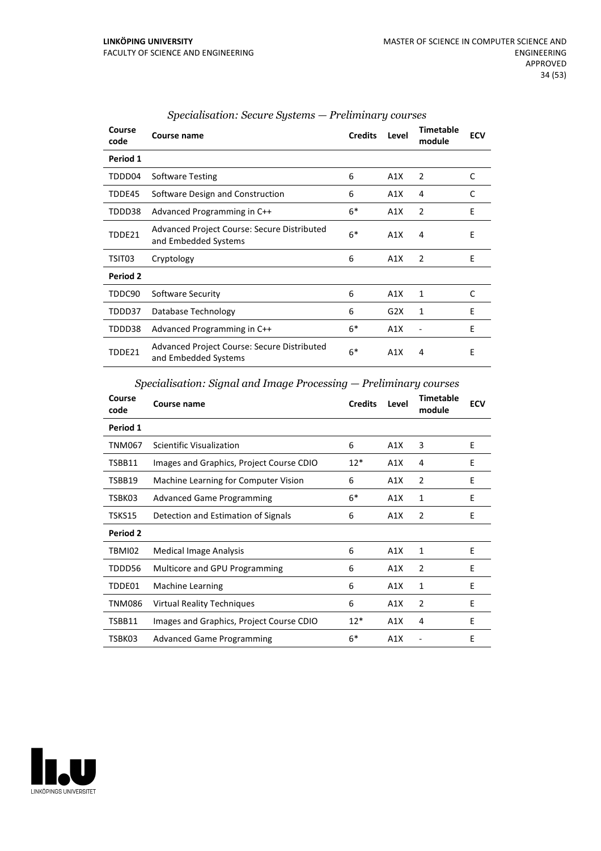| Course<br>code | Course name                                                         | <b>Credits</b> | Level | <b>Timetable</b><br>module | <b>ECV</b> |
|----------------|---------------------------------------------------------------------|----------------|-------|----------------------------|------------|
| Period 1       |                                                                     |                |       |                            |            |
| TDDD04         | Software Testing                                                    | 6              | A1X   | 2                          | C          |
| TDDE45         | Software Design and Construction                                    | 6              | A1X   | 4                          | C          |
| TDDD38         | Advanced Programming in C++                                         | $6*$           | A1X   | $\overline{2}$             | E          |
| TDDE21         | Advanced Project Course: Secure Distributed<br>and Embedded Systems | $6*$           | A1X   | 4                          | E          |
| TSIT03         | Cryptology                                                          | 6              | A1X   | $\overline{2}$             | Ε          |
| Period 2       |                                                                     |                |       |                            |            |
| TDDC90         | Software Security                                                   | 6              | A1X   | 1                          | C          |
| TDDD37         | Database Technology                                                 | 6              | G2X   | 1                          | E          |
| TDDD38         | Advanced Programming in C++                                         | $6*$           | A1X   |                            | E          |
| TDDE21         | Advanced Project Course: Secure Distributed<br>and Embedded Systems | $6*$           | A1X   | 4                          | E          |

#### *Specialisation: Secure Systems — Preliminary courses*

*Specialisation: Signal and Image Processing — Preliminary courses*

| Course<br>code | Course name                              | <b>Credits</b> | Level | <b>Timetable</b><br>module | <b>ECV</b> |
|----------------|------------------------------------------|----------------|-------|----------------------------|------------|
| Period 1       |                                          |                |       |                            |            |
| TNM067         | Scientific Visualization                 | 6              | A1X   | 3                          | E          |
| TSBB11         | Images and Graphics, Project Course CDIO | $12*$          | A1X   | 4                          | E          |
| TSBB19         | Machine Learning for Computer Vision     | 6              | A1X   | $\overline{2}$             | E          |
| TSBK03         | <b>Advanced Game Programming</b>         | $6*$           | A1X   | 1                          | F          |
| TSKS15         | Detection and Estimation of Signals      | 6              | A1X   | 2                          | E          |
| Period 2       |                                          |                |       |                            |            |
| TBMI02         | <b>Medical Image Analysis</b>            | 6              | A1X   | $\mathbf{1}$               | E          |
| TDDD56         | Multicore and GPU Programming            | 6              | A1X   | 2                          | E          |
| TDDE01         | Machine Learning                         | 6              | A1X   | 1                          | E          |
| TNM086         | <b>Virtual Reality Techniques</b>        | 6              | A1X   | 2                          | E          |
| TSBB11         | Images and Graphics, Project Course CDIO | $12*$          | A1X   | 4                          | E          |
| TSBK03         | <b>Advanced Game Programming</b>         | $6*$           | A1X   |                            | E          |

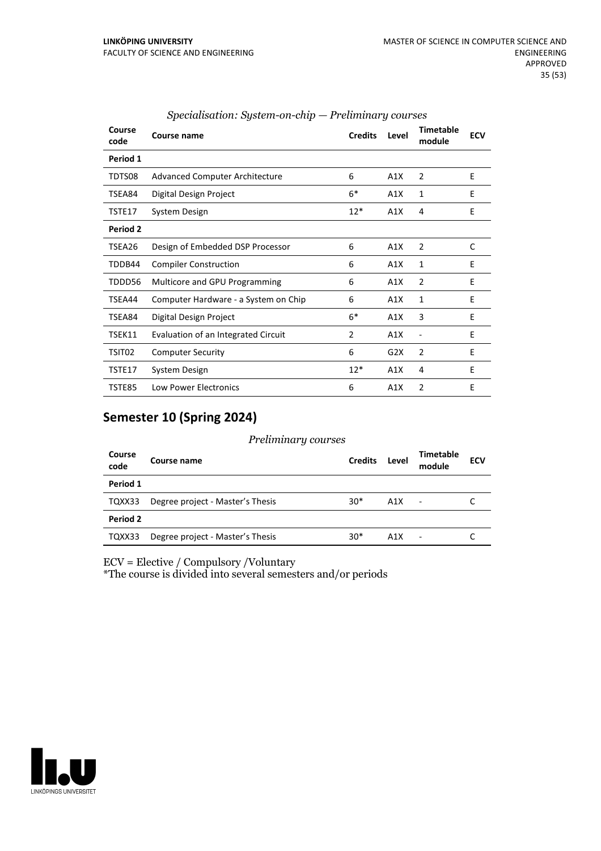| Course<br>code | Course name                           | <b>Credits</b> | Level | <b>Timetable</b><br>module | <b>ECV</b> |
|----------------|---------------------------------------|----------------|-------|----------------------------|------------|
| Period 1       |                                       |                |       |                            |            |
| TDTS08         | <b>Advanced Computer Architecture</b> | 6              | A1X   | $\overline{2}$             | E          |
| TSEA84         | Digital Design Project                | $6*$           | A1X   | 1                          | E          |
| TSTE17         | System Design                         | $12*$          | A1X   | 4                          | E          |
| Period 2       |                                       |                |       |                            |            |
| TSEA26         | Design of Embedded DSP Processor      | 6              | A1X   | 2                          | C          |
| TDDB44         | <b>Compiler Construction</b>          | 6              | A1X   | 1                          | E          |
| TDDD56         | Multicore and GPU Programming         | 6              | A1X   | $\overline{2}$             | Е          |
| TSEA44         | Computer Hardware - a System on Chip  | 6              | A1X   | 1                          | E          |
| TSEA84         | Digital Design Project                | $6*$           | A1X   | 3                          | E          |
| TSEK11         | Evaluation of an Integrated Circuit   | 2              | A1X   |                            | E          |
| TSIT02         | <b>Computer Security</b>              | 6              | G2X   | 2                          | E          |
| TSTE17         | System Design                         | $12*$          | A1X   | 4                          | E          |
| <b>TSTE85</b>  | <b>Low Power Electronics</b>          | 6              | A1X   | 2                          | E          |

#### *Specialisation: System-on-chip — Preliminary courses*

#### **Semester 10 (Spring 2024)**

#### *Preliminary courses*

| Course<br>code  | Course name                      | <b>Credits</b> | Level | <b>Timetable</b><br>module | <b>ECV</b> |
|-----------------|----------------------------------|----------------|-------|----------------------------|------------|
| Period 1        |                                  |                |       |                            |            |
| TQXX33          | Degree project - Master's Thesis | $30*$          | A1X   | $\overline{\phantom{a}}$   |            |
| <b>Period 2</b> |                                  |                |       |                            |            |
| TQXX33          | Degree project - Master's Thesis | $30*$          | A1X   | ٠                          |            |

ECV = Elective / Compulsory /Voluntary

\*The course is divided into several semesters and/or periods

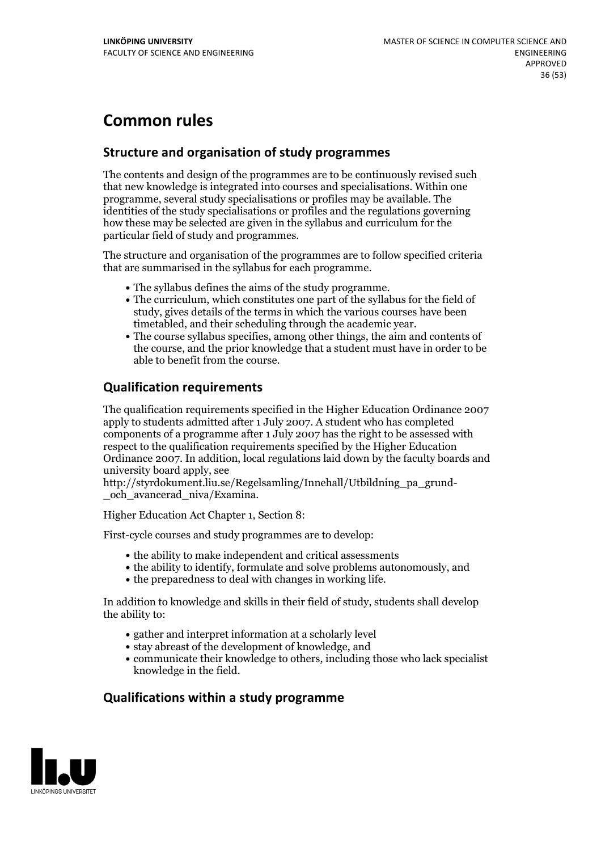## **Common rules**

#### **Structure and organisation of study programmes**

The contents and design of the programmes are to be continuously revised such that new knowledge is integrated into courses and specialisations. Within one programme, several study specialisations or profiles may be available. The identities of the study specialisations or profiles and the regulations governing how these may be selected are given in the syllabus and curriculum for the particular field of study and programmes.

The structure and organisation of the programmes are to follow specified criteria that are summarised in the syllabus for each programme.

- 
- The syllabus defines the aims of the study programme.<br>• The curriculum, which constitutes one part of the syllabus for the field of study, gives details of the terms in which the various courses have been
- timetabled, and their scheduling through the academic year.<br>• The course syllabus specifies, among other things, the aim and contents of the course, and the prior knowledge that a student must have in order to be able to benefit from the course.

#### **Qualification requirements**

The qualification requirements specified in the Higher Education Ordinance 2007 apply to students admitted after 1 July 2007. A student who has completed components of a programme after 1 July 2007 has the right to be assessed with respect to the qualification requirements specified by the Higher Education Ordinance 2007. In addition, local regulations laid down by the faculty boards and university board apply, see

http://styrdokument.liu.se/Regelsamling/Innehall/Utbildning\_pa\_grund- \_och\_avancerad\_niva/Examina.

Higher Education Act Chapter 1, Section 8:

First-cycle courses and study programmes are to develop:

- the ability to make independent and critical assessments
- the ability to identify, formulate and solve problems autonomously, and
- $\bullet$  the preparedness to deal with changes in working life.

In addition to knowledge and skills in their field of study, students shall develop the ability to:

- gather and interpret information at a scholarly level
- stay abreast of the development of knowledge, and
- communicate their knowledge to others, including those who lack specialist knowledge in the field.

#### **Qualifications within a study programme**

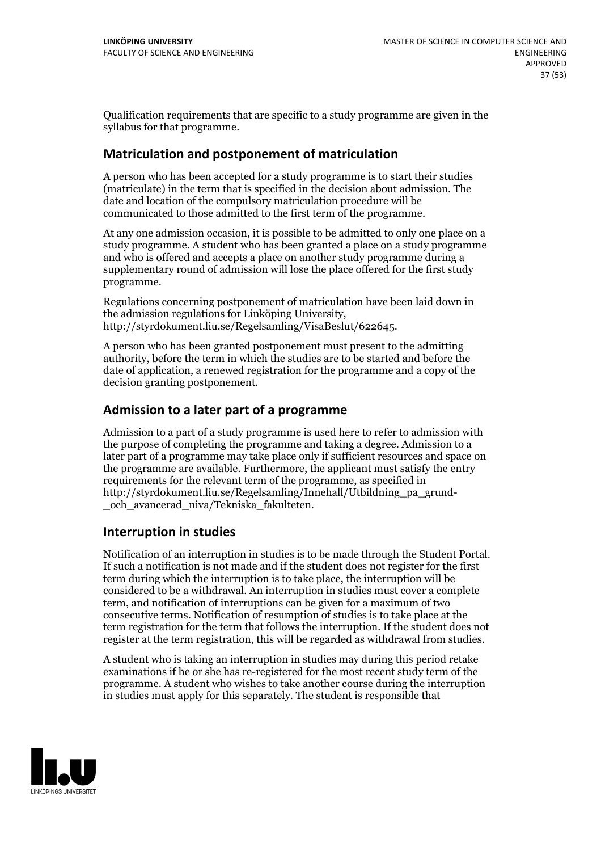Qualification requirements that are specific to a study programme are given in the syllabus for that programme.

#### **Matriculation and postponement of matriculation**

A person who has been accepted for a study programme is to start their studies (matriculate) in the term that is specified in the decision about admission. The date and location of the compulsory matriculation procedure will be communicated to those admitted to the first term of the programme.

At any one admission occasion, it is possible to be admitted to only one place on a study programme. A student who has been granted a place on a study programme and who is offered and accepts a place on another study programme during a supplementary round of admission will lose the place offered for the first study programme.

Regulations concerning postponement of matriculation have been laid down in the admission regulations for Linköping University, http://styrdokument.liu.se/Regelsamling/VisaBeslut/622645.

A person who has been granted postponement must present to the admitting authority, before the term in which the studies are to be started and before the date of application, a renewed registration for the programme and a copy of the decision granting postponement.

#### **Admission to a later part of a programme**

Admission to a part of a study programme is used here to refer to admission with the purpose of completing the programme and taking a degree. Admission to a later part of a programme may take place only if sufficient resources and space on the programme are available. Furthermore, the applicant must satisfy the entry requirements for the relevant term of the programme, as specified in http://styrdokument.liu.se/Regelsamling/Innehall/Utbildning\_pa\_grund- \_och\_avancerad\_niva/Tekniska\_fakulteten.

#### **Interruption in studies**

Notification of an interruption in studies is to be made through the Student Portal. If such <sup>a</sup> notification is not made and if the student does not register for the first term during which the interruption is to take place, the interruption will be considered to be a withdrawal. An interruption in studies must cover a complete term, and notification of interruptions can be given for a maximum of two consecutive terms. Notification of resumption of studies is to take place at the term registration for the term that follows the interruption. If the student does not register at the term registration, this will be regarded as withdrawal from studies.

A student who is taking an interruption in studies may during this period retake examinations if he or she has re-registered for the most recent study term of the programme. A student who wishes to take another course during the interruption in studies must apply for this separately. The student is responsible that

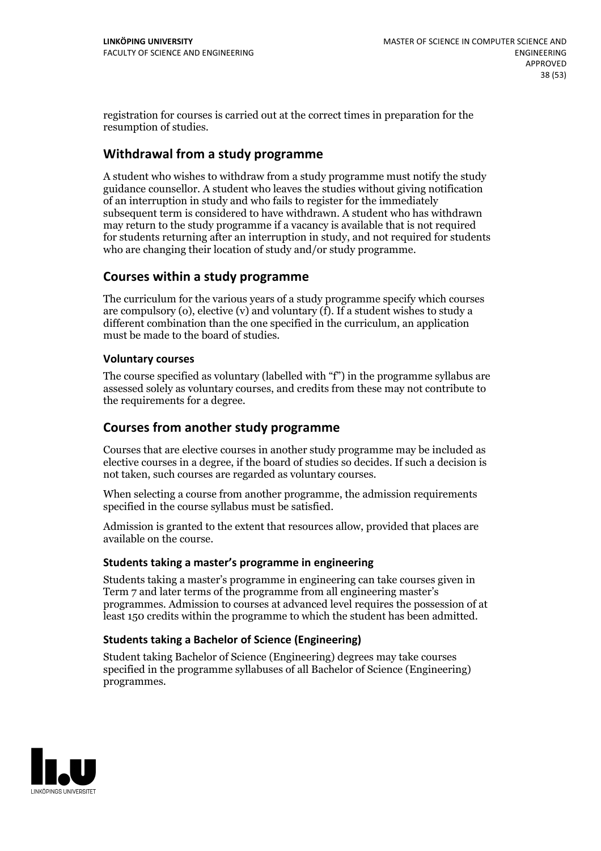registration for courses is carried outat the correct times in preparation for the resumption of studies.

#### **Withdrawal from a study programme**

A student who wishes to withdraw from a study programme must notify the study guidance counsellor. A student who leaves the studies without giving notification of an interruption in study and who fails to register for the immediately subsequent term is considered to have withdrawn. A student who has withdrawn may return to the study programme if a vacancy is available that is not required for students returning after an interruption in study, and notrequired for students who are changing their location of study and/or study programme.

#### **Courses within a study programme**

The curriculum for the various years of a study programme specify which courses are compulsory (o), elective (v) and voluntary (f). If a student wishes to study a different combination than the one specified in the curriculum, an application must be made to the board of studies.

#### **Voluntarycourses**

The course specified as voluntary (labelled with "f") in the programme syllabus are assessed solely as voluntary courses, and credits from these may not contribute to the requirements for a degree.

#### **Courses from another study programme**

Courses that are elective courses in another study programme may be included as elective courses in a degree, if the board of studies so decides. If such a decision is not taken, such courses are regarded as voluntary courses.

When selecting a course from another programme, the admission requirements specified in the course syllabus must be satisfied.

Admission is granted to the extent that resources allow, provided that places are available on the course.

#### **Students taking a master's programme in engineering**

Students taking a master's programme in engineering can take courses given in Term 7 and later terms of the programme from all engineering master's programmes. Admission to courses at advanced level requires the possession of at least 150 credits within the programme to which the student has been admitted.

#### **Students taking a Bachelor of Science (Engineering)**

Student taking Bachelor of Science (Engineering) degrees may take courses specified in the programme syllabuses of all Bachelor of Science (Engineering) programmes.

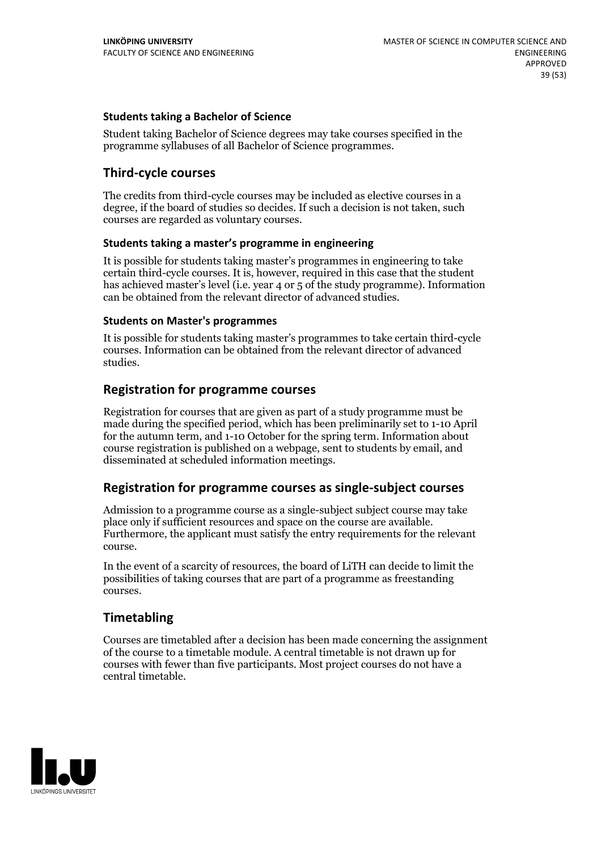#### **Students taking a Bachelor of Science**

Student taking Bachelor of Science degrees may take courses specified in the programme syllabuses of all Bachelor of Science programmes.

#### **Third-cycle courses**

The credits from third-cycle courses may be included as elective courses in a degree, if the board of studies so decides. If such a decision is not taken, such courses are regarded as voluntary courses.

#### **Students taking a master's programme in engineering**

It is possible for students taking master's programmes in engineering to take certain third-cycle courses. It is, however, required in this case that the student has achieved master's level (i.e. year 4 or 5 of the study programme). Information can be obtained from the relevant director of advanced studies.

#### **Students on Master's programmes**

It is possible for students taking master's programmes to take certain third-cycle courses. Information can be obtained from the relevant director of advanced studies.

#### **Registration for programme courses**

Registration for courses that are given as part of a study programme must be made during the specified period, which has been preliminarily set to 1-10 April for the autumn term, and 1-10 October for the spring term. Information about course registration is published on a webpage, sent to students by email, and disseminated at scheduled information meetings.

#### **Registration for programme courses as single-subject courses**

Admission to a programme course as a single-subject subject course may take place only if sufficient resources and space on the course are available. Furthermore, the applicant must satisfy the entry requirements for the relevant course.

In the event of a scarcity of resources, the board of LiTH can decide to limit the possibilities of taking courses that are part of a programme as freestanding courses.

#### **Timetabling**

Courses are timetabled after a decision has been made concerning the assignment of the course to a timetable module. A central timetable is not drawn up for courses with fewer than five participants. Most project courses do not have a central timetable.

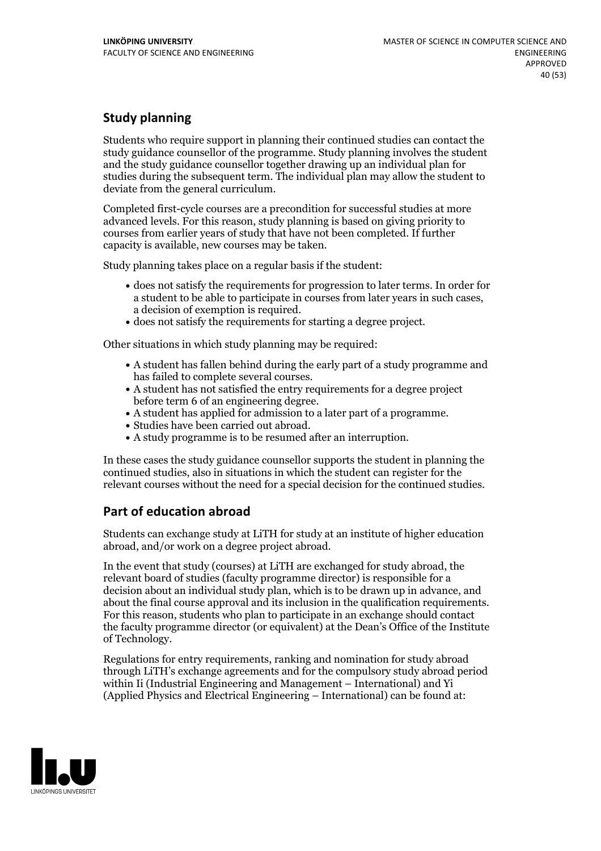#### **Study planning**

Students who require support in planning their continued studies can contact the study guidance counsellor of the programme. Study planning involves the student and the study guidance counsellor together drawing up an individual plan for studies during the subsequent term. The individual plan may allow the student to deviate from the general curriculum.

Completed first-cycle courses are a precondition for successful studies at more advanced levels. For this reason, study planning is based on giving priority to courses from earlier years of study that have not been completed. If further capacity is available, new courses may be taken.

Study planning takes place on a regular basis if the student:

- does not satisfy the requirements for progression to later terms. In order for a student to be able to participate in courses from later years in such cases, a decision of exemption is required.<br>
• does not satisfy the requirements for starting a degree project.
- 

Other situations in which study planning may be required:

- A student has fallen behind during the early part of a study programme and has failed to complete several courses.<br>• A student has not satisfied the entry requirements for a degree project
- 
- before term 6 of an engineering degree.<br>• A student has applied for admission to a later part of a programme.<br>• Studies have been carried out abroad.<br>• A study programme is to be resumed after an interruption.
- 
- 

In these cases the study guidance counsellor supports the student in planning the continued studies, also in situations in which the student can register for the relevant courses without the need for a special decision for the continued studies.

#### **Part of education abroad**

Students can exchange study at LiTH for study at an institute of higher education abroad, and/or work on a degree project abroad.

In the event that study (courses) at LiTH are exchanged for study abroad, the relevant board of studies (faculty programme director) is responsible for a decision about an individual study plan, which is to be drawn up in advance, and about the final course approval and its inclusion in the qualification requirements. For this reason, students who plan to participate in an exchange should contact the faculty programme director (or equivalent) at the Dean's Office ofthe Institute of Technology.

Regulations for entry requirements, ranking and nomination for study abroad through LiTH's exchange agreements and for the compulsory study abroad period within Ii (Industrial Engineering and Management – International) and Yi (Applied Physics and Electrical Engineering – International) can be found at:

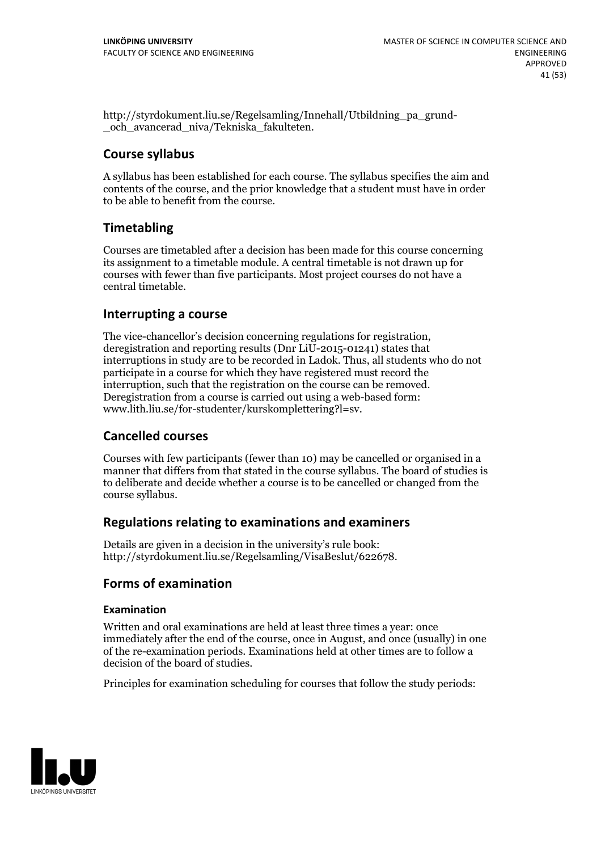http://styrdokument.liu.se/Regelsamling/Innehall/Utbildning\_pa\_grund- \_och\_avancerad\_niva/Tekniska\_fakulteten.

#### **Course syllabus**

A syllabus has been established for each course. The syllabus specifies the aim and contents of the course, and the prior knowledge that a student must have in order to be able to benefit from the course.

#### **Timetabling**

Courses are timetabled after a decision has been made for this course concerning its assignment to a timetable module. A central timetable is not drawn up for courses with fewer than five participants. Most project courses do not have a central timetable.

#### **Interrupting a course**

The vice-chancellor's decision concerning regulations for registration, deregistration and reporting results (Dnr LiU-2015-01241) states that interruptions in study are to be recorded in Ladok. Thus, all students who do not participate in a course for which they have registered must record the interruption, such that the registration on the course can be removed. Deregistration from <sup>a</sup> course is carried outusing <sup>a</sup> web-based form: www.lith.liu.se/for-studenter/kurskomplettering?l=sv.

#### **Cancelled courses**

Courses with few participants (fewer than 10) may be cancelled or organised in a manner that differs from that stated in the course syllabus. The board of studies is to deliberate and decide whether a course is to be cancelled orchanged from the course syllabus.

#### **Regulations relatingto examinations and examiners**

Details are given in a decision in the university's rule book: http://styrdokument.liu.se/Regelsamling/VisaBeslut/622678.

#### **Forms of examination**

#### **Examination**

Written and oral examinations are held at least three times a year: once immediately after the end of the course, once in August, and once (usually) in one of the re-examination periods. Examinations held at other times are to follow a decision of the board of studies.

Principles for examination scheduling for courses that follow the study periods:

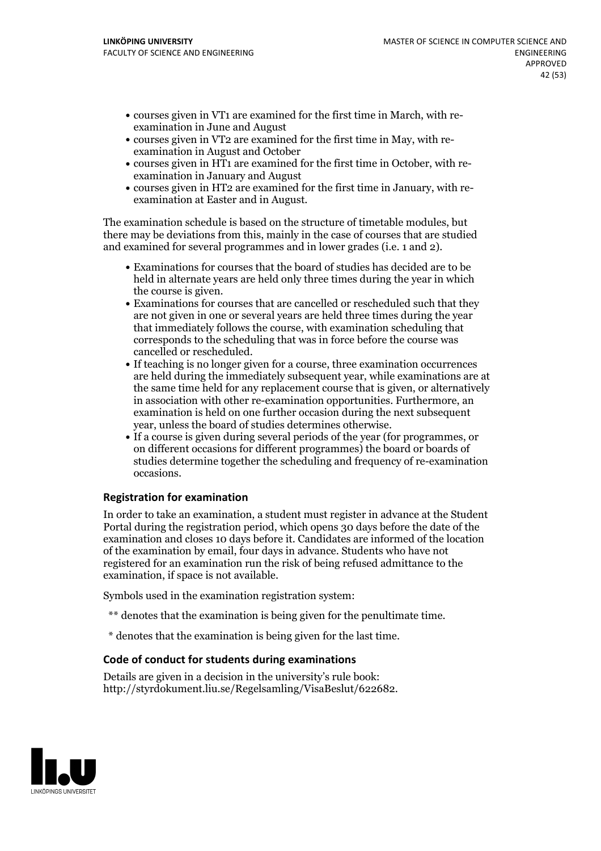- courses given in VT1 are examined for the first time in March, with re-examination in June and August
- courses given in VT2 are examined for the first time in May, with re-examination in August and October
- courses given in HT1 are examined for the first time in October, with re-examination in January and August
- courses given in HT2 are examined for the first time in January, with re-examination at Easter and in August.

The examination schedule is based on the structure of timetable modules, but there may be deviations from this, mainly in the case of courses that are studied and examined for several programmes and in lower grades (i.e. 1 and 2).

- Examinations for courses that the board of studies has decided are to be held in alternate years are held only three times during the year in which
- the course is given.<br>• Examinations for courses that are cancelled or rescheduled such that they are not given in one or several years are held three times during the year that immediately follows the course, with examination scheduling that corresponds to the scheduling that was in force before the course was cancelled or rescheduled.<br>• If teaching is no longer given for a course, three examination occurrences
- are held during the immediately subsequent year, while examinations are at the same time held for any replacement course that is given, or alternatively in association with other re-examination opportunities. Furthermore, an examination is held on one further occasion during the next subsequent
- year, unless the board of studies determines otherwise.<br>If a course is given during several periods of the year (for programmes, or on different occasions for different programmes) the board orboards of studies determine together the scheduling and frequency of re-examination occasions.

#### **Registration for examination**

In order to take an examination, a student must register in advance at the Student Portal during the registration period, which opens 30 days before the date of the examination and closes 10 days before it. Candidates are informed of the location of the examination by email, four days in advance. Students who have not registered for an examination run the risk of being refused admittance to the examination, if space is not available.

Symbols used in the examination registration system:

- \*\* denotes that the examination is being given for the penultimate time.
- \* denotes that the examination is being given for the last time.

#### **Code of conduct for students during examinations**

Details are given in a decision in the university's rule book: http://styrdokument.liu.se/Regelsamling/VisaBeslut/622682.

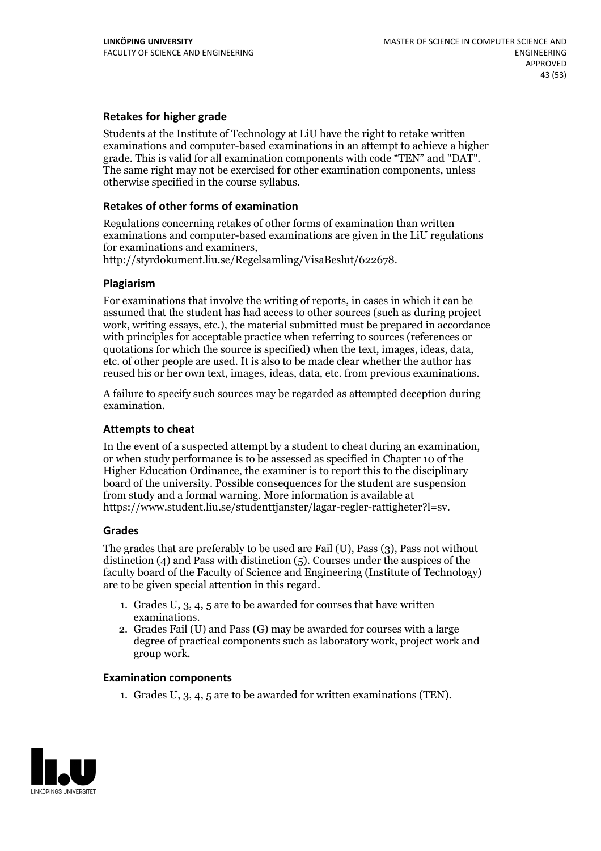#### **Retakes for higher grade**

Students at the Institute of Technology at LiU have the right to retake written examinations and computer-based examinations in an attempt to achieve a higher grade. This is valid for all examination components with code "TEN" and "DAT". The same right may not be exercised for other examination components, unless otherwise specified in the course syllabus.

#### **Retakes of other forms of examination**

Regulations concerning retakes of other forms of examination than written examinations and computer-based examinations are given in the LiU regulations for examinations and examiners, http://styrdokument.liu.se/Regelsamling/VisaBeslut/622678.

#### **Plagiarism**

For examinations that involve the writing of reports, in cases in which it can be assumed that the student has had access to other sources (such as during project work, writing essays, etc.), the material submitted must be prepared in accordance with principles for acceptable practice when referring to sources (references or quotations for which the source is specified) when the text, images, ideas, data, etc. of other people are used. It is also to be made clear whether the author has reused his or her own text, images, ideas, data, etc. from previous examinations.

A failure to specify such sources may be regarded as attempted deception during examination.

#### **Attempts to cheat**

In the event of <sup>a</sup> suspected attempt by <sup>a</sup> student to cheat during an examination, or when study performance is to be assessed as specified in Chapter <sup>10</sup> of the Higher Education Ordinance, the examiner is to report this to the disciplinary board of the university. Possible consequences for the student are suspension from study and a formal warning. More information is available at https://www.student.liu.se/studenttjanster/lagar-regler-rattigheter?l=sv.

#### **Grades**

The grades that are preferably to be used are Fail (U), Pass (3), Pass not without distinction  $(4)$  and Pass with distinction  $(5)$ . Courses under the auspices of the faculty board of the Faculty of Science and Engineering (Institute of Technology) are to be given special attention in this regard.

- 1. Grades U, 3, 4, 5 are to be awarded for courses that have written
- examinations. 2. Grades Fail (U) and Pass (G) may be awarded for courses with <sup>a</sup> large degree of practical components such as laboratory work, project work and group work.

#### **Examination components**

1. Grades U, 3, 4, 5 are to be awarded for written examinations (TEN).

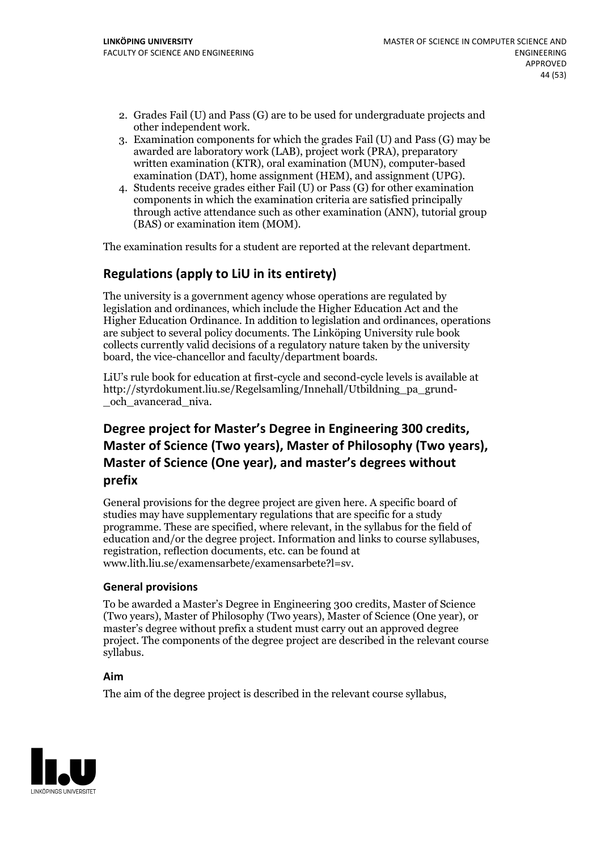- 2. Grades Fail (U) and Pass (G) are to be used for undergraduate projects and other independent work. 3. Examination components for which the grades Fail (U) and Pass (G) may be
- awarded are laboratory work (LAB), project work (PRA), preparatory written examination (KTR), oral examination (MUN), computer-based examination (DAT), home assignment (HEM), and assignment (UPG). 4. Students receive grades either Fail (U) or Pass (G) for other examination
- components in which the examination criteria are satisfied principally through active attendance such as other examination (ANN), tutorial group (BAS) or examination item (MOM).

The examination results for a student are reported at the relevant department.

#### **Regulations (applyto LiU in its entirety)**

The university is a government agency whose operations are regulated by legislation and ordinances, which include the Higher Education Act and the Higher Education Ordinance. In addition to legislation and ordinances, operations are subject to several policy documents. The Linköping University rule book collects currently valid decisions of a regulatory nature taken by the university board, the vice-chancellor and faculty/department boards.

LiU's rule book for education at first-cycle and second-cycle levels is available at http://styrdokument.liu.se/Regelsamling/Innehall/Utbildning\_pa\_grund- \_och\_avancerad\_niva.

## **Degree project for Master's Degree in Engineering 300 credits,** Master of Science (Two years), Master of Philosophy (Two years), Master of Science (One year), and master's degrees without **prefix**

General provisions for the degree project are given here. A specific board of studies may have supplementary regulations that are specific for a study programme. These are specified, where relevant, in the syllabus for the field of education and/or the degree project. Information and links to course syllabuses, registration, reflection documents, etc. can be found at www.lith.liu.se/examensarbete/examensarbete?l=sv.

#### **General provisions**

To be awarded a Master's Degree in Engineering 300 credits, Master of Science (Two years), Master of Philosophy (Two years), Master of Science (One year), or master's degree without prefix a student must carry out an approved degree project. The components of the degree project are described in the relevant course syllabus.

#### **Aim**

The aim of the degree project is described in the relevant course syllabus,

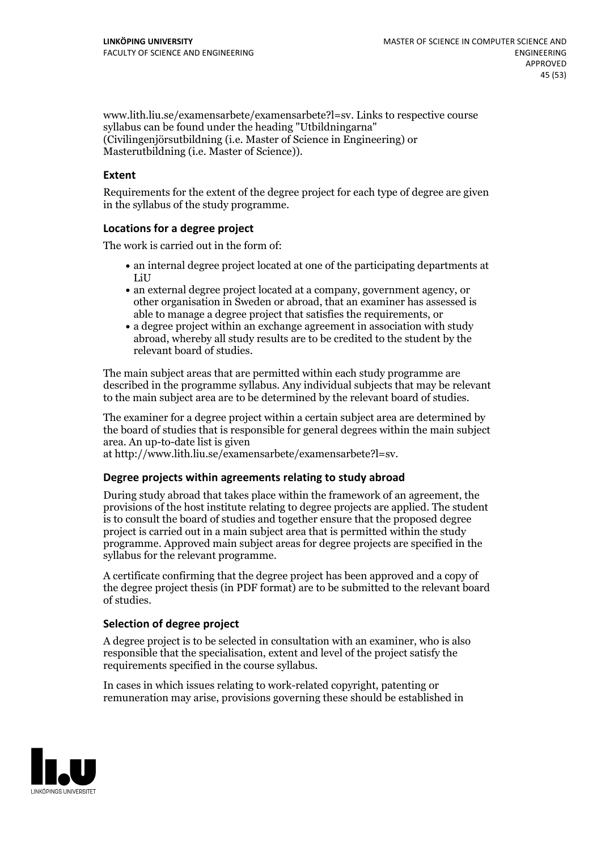www.lith.liu.se/examensarbete/examensarbete?l=sv. Links to respective course syllabus can be found under the heading "Utbildningarna" (Civilingenjörsutbildning (i.e. Master of Science in Engineering) or Masterutbildning (i.e. Master of Science)).

#### **Extent**

Requirements for the extent of the degree project for each type of degree are given in the syllabus of the study programme.

#### **Locations for a degree project**

The work is carried out in the form of:

- an internal degree project located at one of the participating departments at LiU
- an external degree project located at a company, government agency, or other organisation in Sweden or abroad, that an examiner has assessed is able to manage a degree project that satisfies the requirements, or
- a degree project within an exchange agreement in association with study abroad, whereby all study results are to be credited to the student by the relevant board of studies.

The main subject areas that are permitted within each study programme are described in the programme syllabus. Any individual subjects that may be relevant to the main subject area are to be determined by the relevant board of studies.

The examiner for a degree project within a certain subject area are determined by the board of studies that is responsible for general degrees within the main subject area. An up-to-date list is given

at http://www.lith.liu.se/examensarbete/examensarbete?l=sv.

#### **Degree projects within agreements relatingto study abroad**

During study abroad that takes place within the framework of an agreement, the provisions of the host institute relating to degree projects are applied. The student is to consult the board of studies and together ensure that the proposed degree project is carried out in a main subject area that is permitted within the study programme. Approved main subject areas for degree projects are specified in the syllabus for the relevant programme.

A certificate confirming that the degree project has been approved and a copy of the degree project thesis (in PDF format) are to be submitted to the relevant board of studies.

#### **Selection of degree project**

A degree project is to be selected in consultation with an examiner, who is also responsible that the specialisation, extent and level of the project satisfy the requirements specified in the course syllabus.

In cases in which issues relating to work-related copyright, patenting or remuneration may arise, provisions governing these should be established in

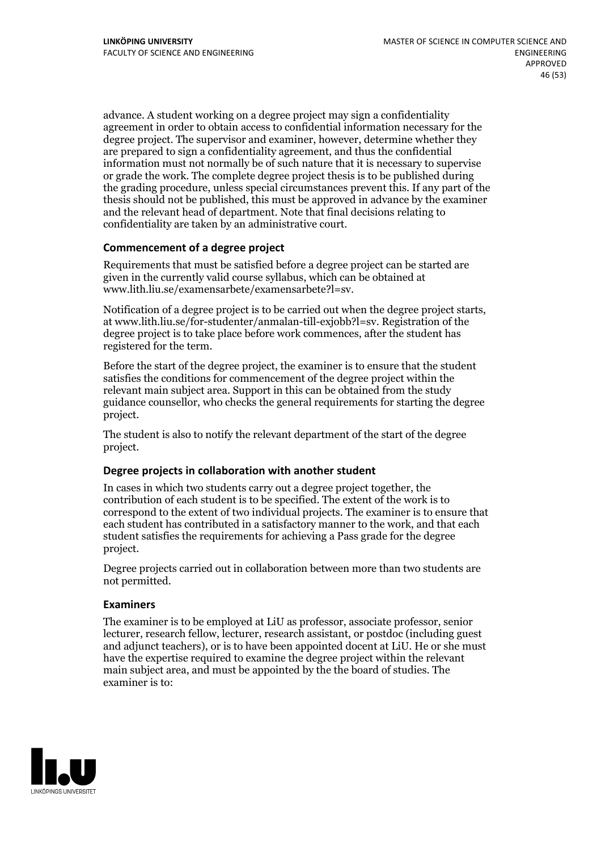advance. A student working on a degree project may sign a confidentiality agreement in order to obtain access to confidential information necessary for the degree project. The supervisor and examiner, however, determine whether they are prepared to sign a confidentiality agreement, and thus the confidential information must not normally be of such nature that it is necessary to supervise or grade the work. The complete degree project thesis is to be published during the grading procedure, unless special circumstances prevent this. If any part of the thesis should not be published, this must be approved in advance by the examiner and the relevant head of department. Note that final decisions relating to confidentiality are taken by an administrative court.

#### **Commencement of a degree project**

Requirements that must be satisfied before a degree project can be started are given in the currently valid course syllabus, which can be obtained at www.lith.liu.se/examensarbete/examensarbete?l=sv.

Notification of <sup>a</sup> degree project is to be carried outwhen the degree project starts, at www.lith.liu.se/for-studenter/anmalan-till-exjobb?l=sv. Registration of the degree project is to take place before work commences, after the student has registered for the term.

Before the start of the degree project, the examiner is to ensure that the student satisfies the conditions for commencement of the degree project within the relevant main subject area. Support in this can be obtained from the study guidance counsellor, who checks the general requirements for starting the degree project.

The student is also to notify the relevant department of the start of the degree project.

#### **Degree projects in collaboration with another student**

In cases in which two students carry out a degree project together, the contribution of each student is to be specified. The extent of the work is to correspond to the extent of two individual projects. The examiner is to ensure that each student has contributed in a satisfactory manner to the work, and that each student satisfies the requirements for achieving a Pass grade for the degree project.

Degree projects carried out in collaboration between more than two students are not permitted.

#### **Examiners**

The examiner is to be employed at LiU as professor, associate professor, senior lecturer, research fellow, lecturer, research assistant, or postdoc (including guest and adjunct teachers), or is to have been appointed docent at LiU. He or she must have the expertise required to examine the degree project within the relevant main subject area, and must be appointed by the the board of studies. The examiner is to:

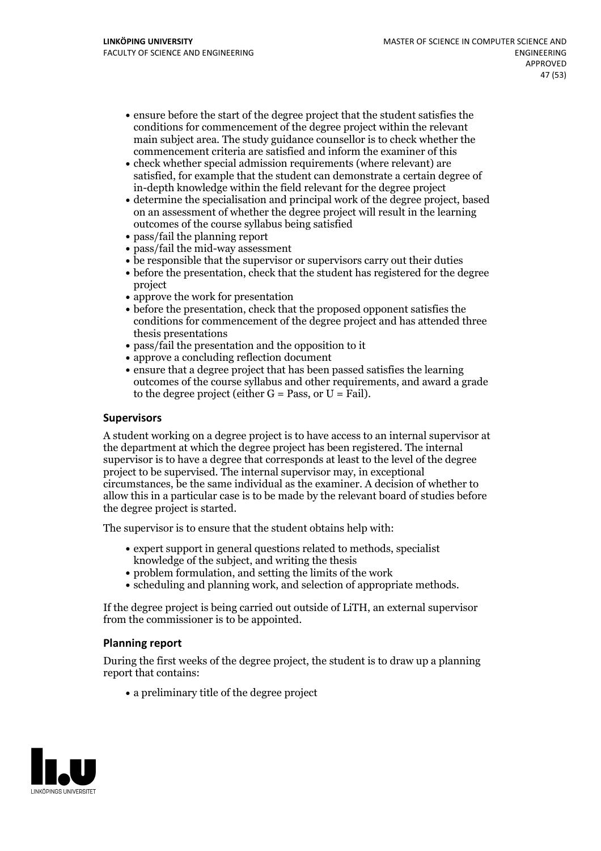- ensure before the start of the degree project that the student satisfies the conditions for commencement of the degree project within the relevant main subject area. The study guidance counsellor is to check whether the commencement criteria are satisfied and inform the examiner of this
- check whether special admission requirements (where relevant) are satisfied, for example that the student can demonstrate a certain degree of in-depth knowledge within the field relevant for the degree project
- determine the specialisation and principal work of the degree project, based on an assessment of whether the degree project will result in the learning outcomes of the course syllabus being satisfied
- pass/fail the planning report
- pass/fail the mid-way assessment
- be responsible that the supervisor or supervisors carry out their duties
- before the presentation, check that the student has registered for the degree project
- approve the work for presentation
- before the presentation, check that the proposed opponent satisfies the conditions for commencement of the degree project and has attended three thesis presentations
- pass/fail the presentation and the opposition to it
- approve a concluding reflection document
- ensure that a degree project that has been passed satisfies the learning outcomes of the course syllabus and other requirements, and award a grade to the degree project (either  $G = Pass$ , or  $U = Fail$ ).

#### **Supervisors**

A student working on a degree project is to have access to an internal supervisor at the department at which the degree project has been registered. The internal supervisor is to have a degree that corresponds at least to the level of the degree project to be supervised. The internal supervisor may, in exceptional circumstances, be the same individual as the examiner. A decision of whether to allow this in a particular case is to be made by the relevant board of studies before the degree project is started.

The supervisor is to ensure that the student obtains help with:

- expert support in general questions related to methods, specialist knowledge of the subject, and writing the thesis
- problem formulation, and setting the limits of the work
- scheduling and planning work, and selection of appropriate methods.

If the degree project is being carried out outside of LiTH, an external supervisor from the commissioner is to be appointed.

#### **Planning report**

During the first weeks of the degree project, the student is to draw up a planning report that contains:

 $\bullet$  a preliminary title of the degree project

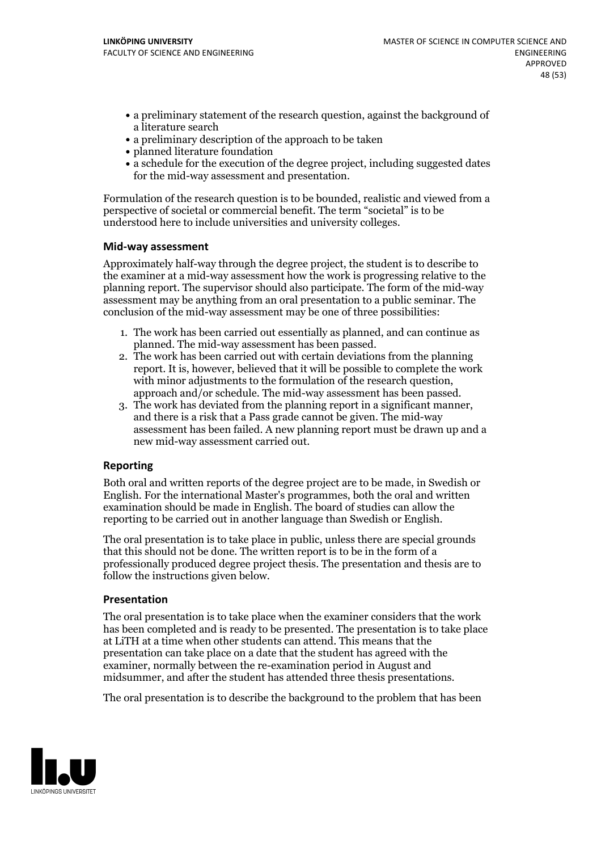- a preliminary statement of the research question, against the background of a literature search
- a preliminary description of the approach to be taken
- planned literature foundation
- a schedule for the execution of the degree project, including suggested dates for the mid-way assessment and presentation.

Formulation of the research question is to be bounded, realistic and viewed from a perspective of societal or commercial benefit. The term "societal" is to be understood here to include universities and university colleges.

#### **Mid-way assessment**

Approximately half-way through the degree project, the student is to describe to the examiner at a mid-way assessment how the work is progressing relative to the planning report. The supervisor should also participate. The form of the mid-way assessment may be anything from an oral presentation to a public seminar. The conclusion of the mid-way assessment may be one of three possibilities:

- 1. The work has been carried outessentially as planned, and can continue as
- planned. The mid-way assessment has been passed. 2. The work has been carried outwith certain deviations from the planning report. It is, however, believed that it will be possible to complete the work
- approach and/or schedule. The mid-way assessment has been passed.<br>3. The work has deviated from the planning report in a significant manner, and there is a risk that a Pass grade cannot be given. The mid-way assessment has been failed. A new planning report must be drawn up and a new mid-way assessment carried out.

#### **Reporting**

Both oral and written reports of the degree project are to be made, in Swedish or English. For the international Master's programmes, both the oral and written examination should be made in English. The board of studies can allow the reporting to be carried out in another language than Swedish or English.

The oral presentation is to take place in public, unless there are special grounds that this should not be done. The written report is to be in the form of a professionally produced degree project thesis. The presentation and thesis are to follow the instructions given below.

#### **Presentation**

The oral presentation is to take place when the examiner considers that the work has been completed and is ready to be presented. The presentation is to take place at LiTH at a time when other students can attend. This means that the presentation can take place on a date that the student has agreed with the examiner, normally between the re-examination period in August and midsummer, and after the student has attended three thesis presentations.

The oral presentation is to describe the background to the problem that has been

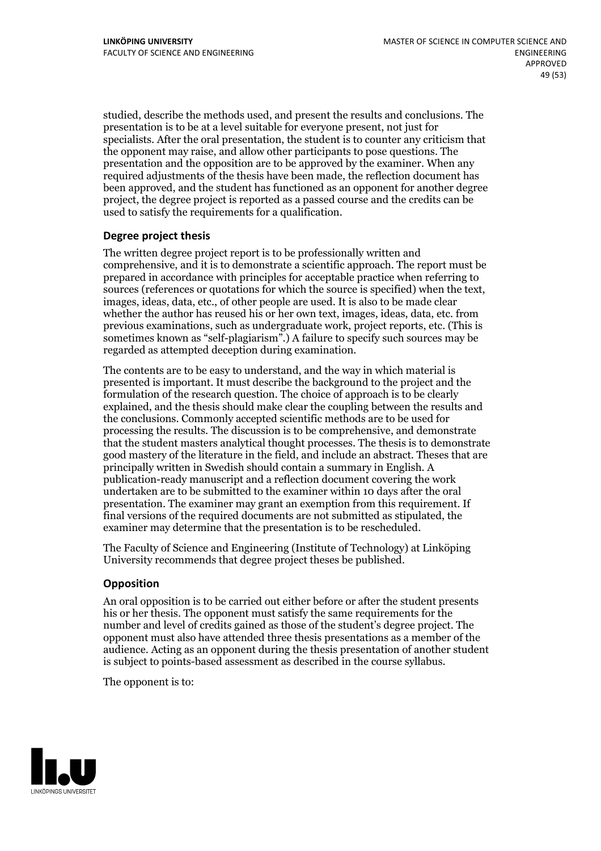studied, describe the methods used, and present the results and conclusions. The presentation is to be at a level suitable for everyone present, not just for specialists. After the oral presentation, the student is to counter any criticism that the opponent may raise, and allow other participants to pose questions. The presentation and the opposition are to be approved by the examiner. When any required adjustments of the thesis have been made, the reflection document has been approved, and the student has functioned as an opponent for another degree project, the degree project is reported as a passed course and the credits can be used to satisfy the requirements for a qualification.

#### **Degree project thesis**

The written degree project report is to be professionally written and comprehensive, and it is to demonstrate a scientific approach. The report must be prepared in accordance with principles for acceptable practice when referring to sources (references or quotations for which the source is specified) when the text, images, ideas, data, etc., of other people are used. It is also to be made clear whether the author has reused his or her own text, images, ideas, data, etc. from previous examinations, such asundergraduate work, project reports, etc. (This is sometimes known as"self-plagiarism".) A failure to specify such sources may be regarded as attempted deception during examination.

The contents are to be easy to understand, and the way in which material is presented is important. It must describe the background to the project and the formulation of the research question. The choice of approach is to be clearly explained, and the thesis should make clear the coupling between the results and the conclusions. Commonly accepted scientific methods are to be used for processing the results. The discussion is to be comprehensive, and demonstrate that the student masters analytical thought processes. The thesis is to demonstrate good mastery of the literature in the field, and include an abstract. Theses that are principally written in Swedish should contain a summary in English. A publication-ready manuscript and a reflection document covering the work undertaken are to be submitted to the examiner within 10 days after the oral presentation. The examiner may grant an exemption from this requirement. If final versions of the required documents are not submitted as stipulated, the examiner may determine that the presentation is to be rescheduled.

The Faculty of Science and Engineering (Institute of Technology) at Linköping University recommends that degree project theses be published.

#### **Opposition**

An oral opposition is to be carried out either before or after the student presents his or her thesis. The opponent must satisfy the same requirements for the number and level of credits gained as those of the student's degree project. The opponent must also have attended three thesis presentations as a member of the audience. Acting as an opponent during the thesis presentation of another student is subject to points-based assessment as described in the course syllabus.

The opponent is to:

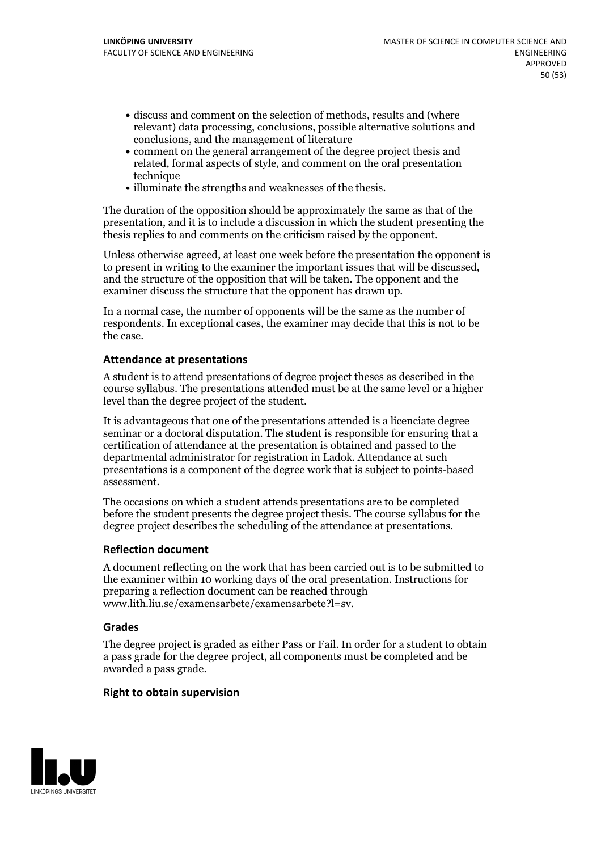- discuss and comment on the selection of methods, results and (where relevant) data processing, conclusions, possible alternative solutions and conclusions, and the management of literature
- comment on the general arrangement of the degree project thesis and related, formal aspects of style, and comment on the oral presentation technique
- illuminate the strengths and weaknesses of the thesis.

The duration of the opposition should be approximately the same as that of the presentation, and it is to include a discussion in which the student presenting the thesis replies to and comments on the criticism raised by the opponent.

Unless otherwise agreed, at least one week before the presentation the opponent is to present in writing to the examiner the important issues that will be discussed, and the structure ofthe opposition that will be taken. The opponent and the examiner discuss the structure that the opponent has drawn up.

In a normal case, the number of opponents will be the same as the number of respondents. In exceptional cases, the examiner may decide that this is not to be the case.

#### **Attendance at presentations**

A student is to attend presentations of degree project theses as described in the course syllabus. The presentations attended must be at the same level or a higher level than the degree project of the student.

It is advantageous that one of the presentations attended is a licenciate degree seminar or a doctoral disputation. The student is responsible for ensuring that a certification of attendance at the presentation is obtained and passed to the departmental administrator for registration in Ladok. Attendance at such presentations is a component of the degree work that is subject to points-based assessment.

The occasions on which a student attends presentations are to be completed before the student presents the degree project thesis. The course syllabus for the degree project describes the scheduling of the attendance at presentations.

#### **Reflection document**

A document reflecting on the work that has been carried outis to be submitted to the examiner within 10 working days of the oral presentation. Instructions for preparing a reflection document can be reached through www.lith.liu.se/examensarbete/examensarbete?l=sv.

#### **Grades**

The degree project is graded as either Pass or Fail. In order for a student to obtain a pass grade for the degree project, all components must be completed and be awarded a pass grade.

#### **Right to obtain supervision**

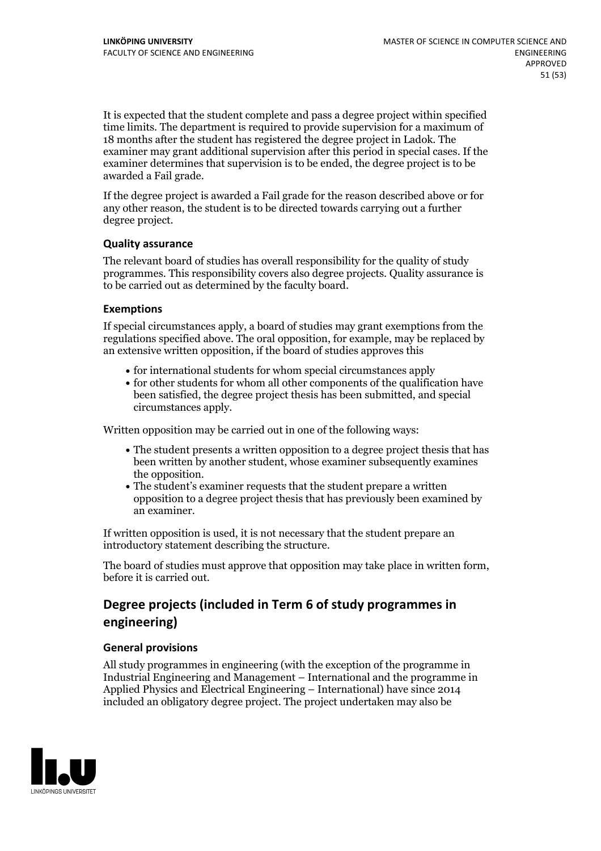It is expected that the student complete and pass a degree project within specified time limits. The department is required to provide supervision for a maximum of 18 months after the student has registered the degree project in Ladok. The examiner may grant additional supervision after this period in special cases. If the examiner determines that supervision is to be ended, the degree project is to be awarded a Fail grade.

If the degree project is awarded a Fail grade for the reason described above or for any other reason, the student is to be directed towards carrying out a further degree project.

#### **Quality assurance**

The relevant board of studies has overall responsibility for the quality of study programmes. This responsibility covers also degree projects. Quality assurance is to be carried out as determined by the faculty board.

#### **Exemptions**

If special circumstances apply, a board of studies may grant exemptions from the regulations specified above. The oral opposition, for example, may be replaced by an extensive written opposition, if the board of studies approves this

- $\bullet$  for international students for whom special circumstances apply
- for other students for whom all other components of the qualification have been satisfied, the degree project thesis has been submitted, and special circumstances apply.

Written opposition may be carried out in one of the following ways:

- The student presents a written opposition to a degree project thesis that has been written by another student, whose examiner subsequently examines the opposition.<br>• The student's examiner requests that the student prepare a written
- opposition to a degree project thesis that has previously been examined by an examiner.

If written opposition is used, it is not necessary that the student prepare an introductory statement describing the structure.

The board of studies must approve that opposition may take place in written form, before it is carried out.

### **Degree projects (included in Term 6 of study programmes in engineering)**

#### **General provisions**

All study programmes in engineering (with the exception of the programme in Industrial Engineering and Management – International and the programme in Applied Physics and Electrical Engineering – International) have since 2014 included an obligatory degree project. The project undertaken may also be

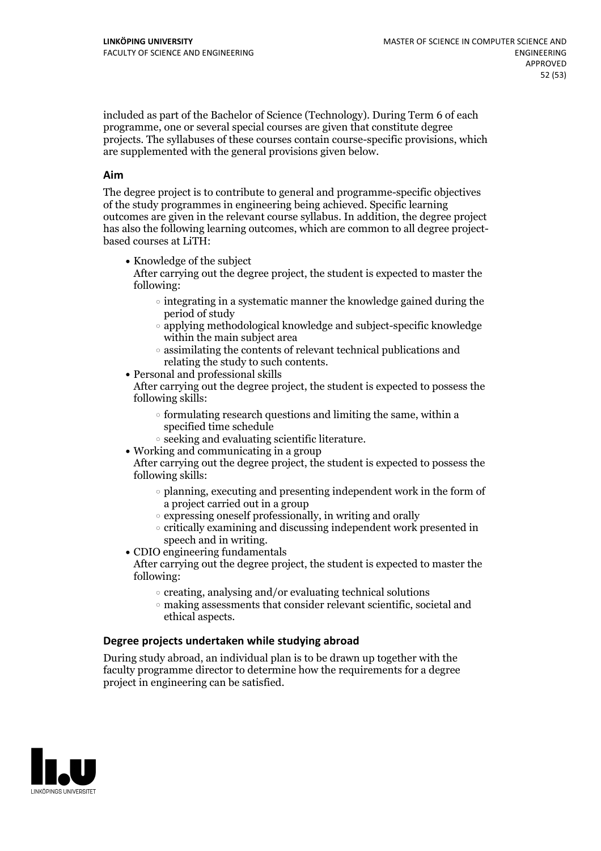included as part of the Bachelor of Science (Technology). During Term 6 of each programme, one or several special courses are given that constitute degree projects. The syllabuses of these courses contain course-specific provisions, which are supplemented with the general provisions given below.

#### **Aim**

The degree project is to contribute to general and programme-specific objectives of the study programmes in engineering being achieved. Specific learning outcomes are given in the relevant course syllabus. In addition, the degree project has also the following learning outcomes, which are common to all degree project- based courses at LiTH:

• Knowledge of the subject

After carrying out the degree project, the student is expected to master the following:

- $\circ$  integrating in a systematic manner the knowledge gained during the period of study
- applying methodological knowledge and subject-specific knowledge within the main subject area
- $\circ$  assimilating the contents of relevant technical publications and relating the study to such contents.<br>• Personal and professional skills
- 

After carrying out the degree project, the student is expected to possess the following skills:

- $\circ$  formulating research questions and limiting the same, within a specified time schedule
- $\circ$  seeking and evaluating scientific literature.<br>• Working and communicating in a group
- 

After carrying out the degree project, the student is expected to possess the following skills:

- $\circ$  planning, executing and presenting independent work in the form of a project carried out in a group
- $\circ$  expressing oneself professionally, in writing and orally
- $\circ$  critically examining and discussing independent work presented in
- speech and in writing.<br>• CDIO engineering fundamentals

After carrying out the degree project, the student is expected to master the following:

- $\circ$  creating, analysing and/or evaluating technical solutions
- making assessments that consider relevant scientific, societal and ethical aspects.

#### **Degree projects undertaken while studying abroad**

During study abroad, an individual plan is to be drawn up together with the faculty programme director to determine how the requirements for a degree project in engineering can be satisfied.